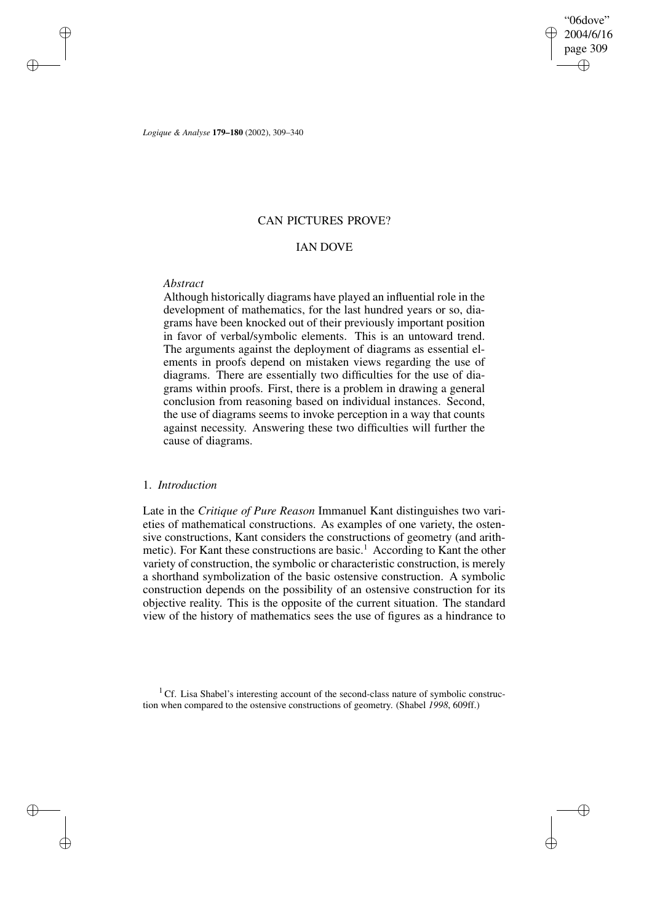✐

✐

*Logique & Analyse* **179–180** (2002), 309–340

# CAN PICTURES PROVE?

## IAN DOVE

# *Abstract*

✐

✐

✐

✐

Although historically diagrams have played an influential role in the development of mathematics, for the last hundred years or so, diagrams have been knocked out of their previously important position in favor of verbal/symbolic elements. This is an untoward trend. The arguments against the deployment of diagrams as essential elements in proofs depend on mistaken views regarding the use of diagrams. There are essentially two difficulties for the use of diagrams within proofs. First, there is a problem in drawing a general conclusion from reasoning based on individual instances. Second, the use of diagrams seems to invoke perception in a way that counts against necessity. Answering these two difficulties will further the cause of diagrams.

# 1. *Introduction*

Late in the *Critique of Pure Reason* Immanuel Kant distinguishes two varieties of mathematical constructions. As examples of one variety, the ostensive constructions, Kant considers the constructions of geometry (and arithmetic). For Kant these constructions are basic.<sup>1</sup> According to Kant the other variety of construction, the symbolic or characteristic construction, is merely a shorthand symbolization of the basic ostensive construction. A symbolic construction depends on the possibility of an ostensive construction for its objective reality. This is the opposite of the current situation. The standard view of the history of mathematics sees the use of figures as a hindrance to

<sup>1</sup> Cf. Lisa Shabel's interesting account of the second-class nature of symbolic construction when compared to the ostensive constructions of geometry. (Shabel *1998*, 609ff.)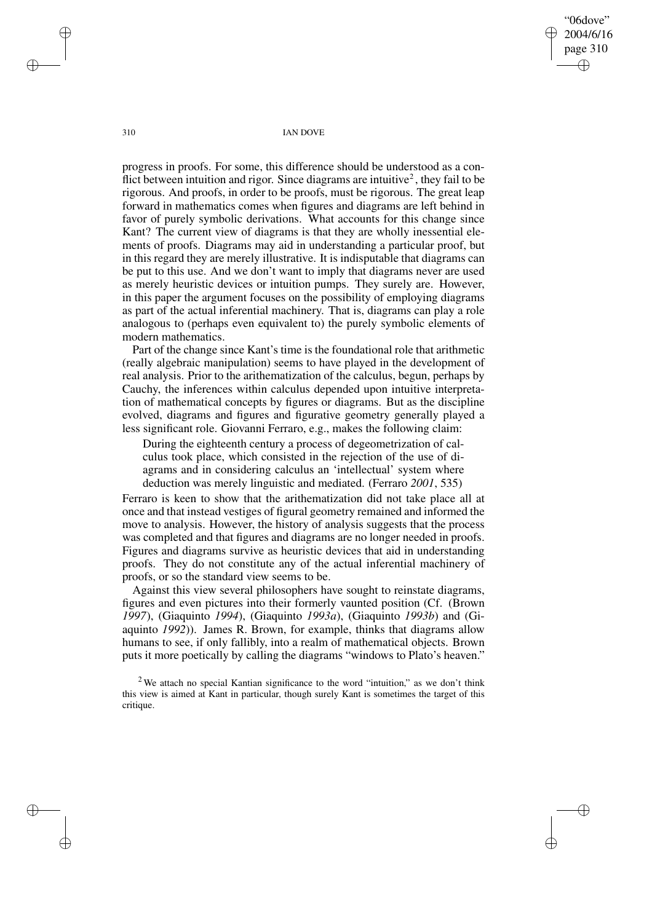"06dove" 2004/6/16 page 310 ✐ ✐

✐

✐

310 IAN DOVE

progress in proofs. For some, this difference should be understood as a conflict between intuition and rigor. Since diagrams are intuitive<sup>2</sup>, they fail to be rigorous. And proofs, in order to be proofs, must be rigorous. The great leap forward in mathematics comes when figures and diagrams are left behind in favor of purely symbolic derivations. What accounts for this change since Kant? The current view of diagrams is that they are wholly inessential elements of proofs. Diagrams may aid in understanding a particular proof, but in this regard they are merely illustrative. It is indisputable that diagrams can be put to this use. And we don't want to imply that diagrams never are used as merely heuristic devices or intuition pumps. They surely are. However, in this paper the argument focuses on the possibility of employing diagrams as part of the actual inferential machinery. That is, diagrams can play a role analogous to (perhaps even equivalent to) the purely symbolic elements of modern mathematics.

Part of the change since Kant's time is the foundational role that arithmetic (really algebraic manipulation) seems to have played in the development of real analysis. Prior to the arithematization of the calculus, begun, perhaps by Cauchy, the inferences within calculus depended upon intuitive interpretation of mathematical concepts by figures or diagrams. But as the discipline evolved, diagrams and figures and figurative geometry generally played a less significant role. Giovanni Ferraro, e.g., makes the following claim:

During the eighteenth century a process of degeometrization of calculus took place, which consisted in the rejection of the use of diagrams and in considering calculus an 'intellectual' system where deduction was merely linguistic and mediated. (Ferraro *2001*, 535)

Ferraro is keen to show that the arithematization did not take place all at once and that instead vestiges of figural geometry remained and informed the move to analysis. However, the history of analysis suggests that the process was completed and that figures and diagrams are no longer needed in proofs. Figures and diagrams survive as heuristic devices that aid in understanding proofs. They do not constitute any of the actual inferential machinery of proofs, or so the standard view seems to be.

Against this view several philosophers have sought to reinstate diagrams, figures and even pictures into their formerly vaunted position (Cf. (Brown *1997*), (Giaquinto *1994*), (Giaquinto *1993a*), (Giaquinto *1993b*) and (Giaquinto *1992*)). James R. Brown, for example, thinks that diagrams allow humans to see, if only fallibly, into a realm of mathematical objects. Brown puts it more poetically by calling the diagrams "windows to Plato's heaven."

✐

✐

✐

<sup>&</sup>lt;sup>2</sup> We attach no special Kantian significance to the word "intuition," as we don't think this view is aimed at Kant in particular, though surely Kant is sometimes the target of this critique.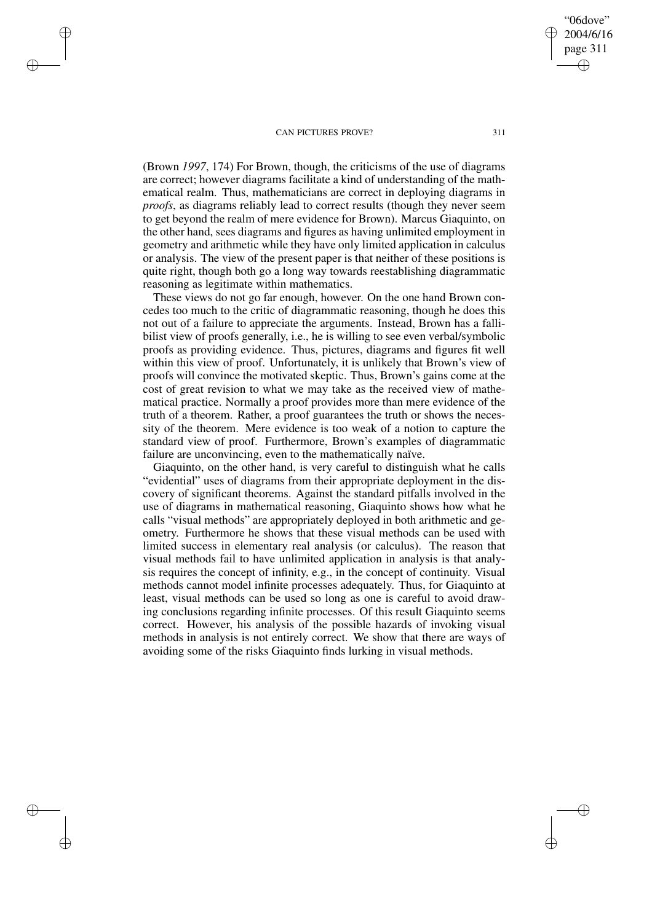✐

✐

✐

✐

(Brown *1997*, 174) For Brown, though, the criticisms of the use of diagrams are correct; however diagrams facilitate a kind of understanding of the mathematical realm. Thus, mathematicians are correct in deploying diagrams in *proofs*, as diagrams reliably lead to correct results (though they never seem to get beyond the realm of mere evidence for Brown). Marcus Giaquinto, on the other hand, sees diagrams and figures as having unlimited employment in geometry and arithmetic while they have only limited application in calculus or analysis. The view of the present paper is that neither of these positions is quite right, though both go a long way towards reestablishing diagrammatic reasoning as legitimate within mathematics.

These views do not go far enough, however. On the one hand Brown concedes too much to the critic of diagrammatic reasoning, though he does this not out of a failure to appreciate the arguments. Instead, Brown has a fallibilist view of proofs generally, i.e., he is willing to see even verbal/symbolic proofs as providing evidence. Thus, pictures, diagrams and figures fit well within this view of proof. Unfortunately, it is unlikely that Brown's view of proofs will convince the motivated skeptic. Thus, Brown's gains come at the cost of great revision to what we may take as the received view of mathematical practice. Normally a proof provides more than mere evidence of the truth of a theorem. Rather, a proof guarantees the truth or shows the necessity of the theorem. Mere evidence is too weak of a notion to capture the standard view of proof. Furthermore, Brown's examples of diagrammatic failure are unconvincing, even to the mathematically naïve.

Giaquinto, on the other hand, is very careful to distinguish what he calls "evidential" uses of diagrams from their appropriate deployment in the discovery of significant theorems. Against the standard pitfalls involved in the use of diagrams in mathematical reasoning, Giaquinto shows how what he calls "visual methods" are appropriately deployed in both arithmetic and geometry. Furthermore he shows that these visual methods can be used with limited success in elementary real analysis (or calculus). The reason that visual methods fail to have unlimited application in analysis is that analysis requires the concept of infinity, e.g., in the concept of continuity. Visual methods cannot model infinite processes adequately. Thus, for Giaquinto at least, visual methods can be used so long as one is careful to avoid drawing conclusions regarding infinite processes. Of this result Giaquinto seems correct. However, his analysis of the possible hazards of invoking visual methods in analysis is not entirely correct. We show that there are ways of avoiding some of the risks Giaquinto finds lurking in visual methods.

"06dove" 2004/6/16 page 311

✐

✐

✐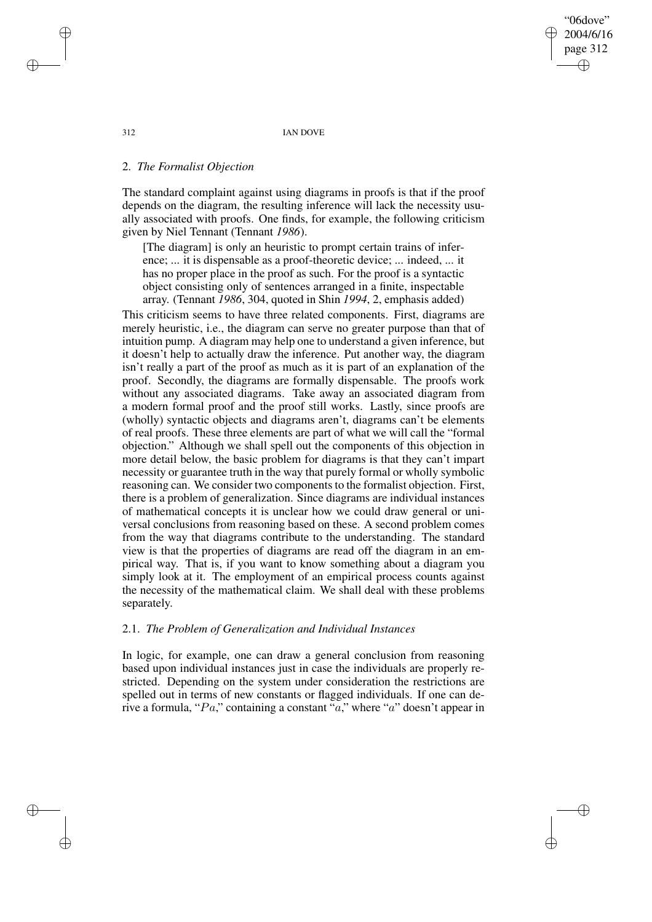"06dove" 2004/6/16 page 312 ✐ ✐

✐

✐

312 IAN DOVE

# 2. *The Formalist Objection*

The standard complaint against using diagrams in proofs is that if the proof depends on the diagram, the resulting inference will lack the necessity usually associated with proofs. One finds, for example, the following criticism given by Niel Tennant (Tennant *1986*).

[The diagram] is only an heuristic to prompt certain trains of inference; ... it is dispensable as a proof-theoretic device; ... indeed, ... it has no proper place in the proof as such. For the proof is a syntactic object consisting only of sentences arranged in a finite, inspectable array. (Tennant *1986*, 304, quoted in Shin *1994*, 2, emphasis added)

This criticism seems to have three related components. First, diagrams are merely heuristic, i.e., the diagram can serve no greater purpose than that of intuition pump. A diagram may help one to understand a given inference, but it doesn't help to actually draw the inference. Put another way, the diagram isn't really a part of the proof as much as it is part of an explanation of the proof. Secondly, the diagrams are formally dispensable. The proofs work without any associated diagrams. Take away an associated diagram from a modern formal proof and the proof still works. Lastly, since proofs are (wholly) syntactic objects and diagrams aren't, diagrams can't be elements of real proofs. These three elements are part of what we will call the "formal objection." Although we shall spell out the components of this objection in more detail below, the basic problem for diagrams is that they can't impart necessity or guarantee truth in the way that purely formal or wholly symbolic reasoning can. We consider two components to the formalist objection. First, there is a problem of generalization. Since diagrams are individual instances of mathematical concepts it is unclear how we could draw general or universal conclusions from reasoning based on these. A second problem comes from the way that diagrams contribute to the understanding. The standard view is that the properties of diagrams are read off the diagram in an empirical way. That is, if you want to know something about a diagram you simply look at it. The employment of an empirical process counts against the necessity of the mathematical claim. We shall deal with these problems separately.

# 2.1. *The Problem of Generalization and Individual Instances*

In logic, for example, one can draw a general conclusion from reasoning based upon individual instances just in case the individuals are properly restricted. Depending on the system under consideration the restrictions are spelled out in terms of new constants or flagged individuals. If one can derive a formula, "Pa," containing a constant "a," where "a" doesn't appear in

✐

✐

✐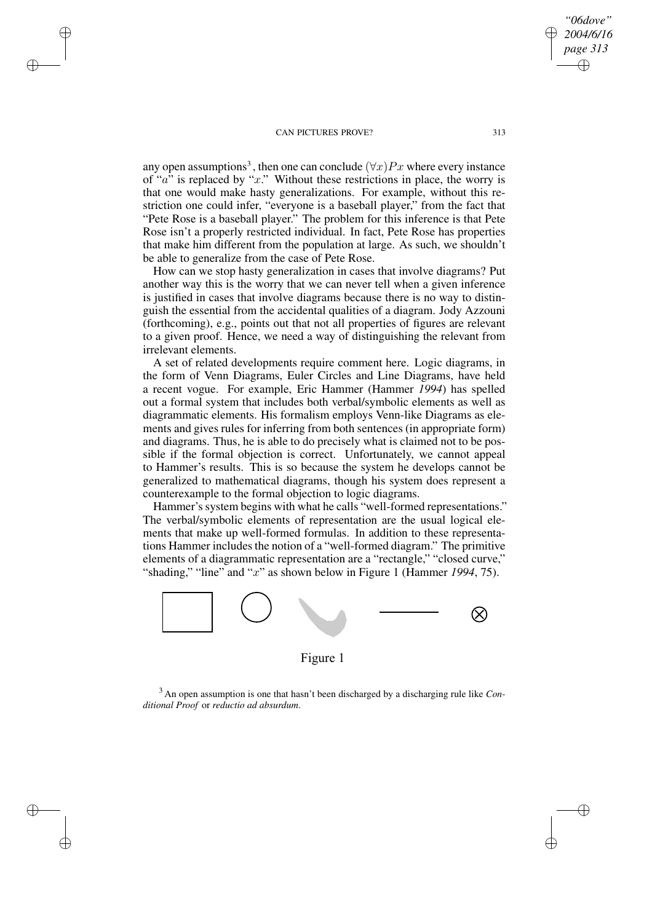✐

✐

✐

✐

any open assumptions<sup>3</sup>, then one can conclude  $(\forall x)Px$  where every instance of " $a$ " is replaced by "x." Without these restrictions in place, the worry is that one would make hasty generalizations. For example, without this restriction one could infer, "everyone is a baseball player," from the fact that "Pete Rose is a baseball player." The problem for this inference is that Pete Rose isn't a properly restricted individual. In fact, Pete Rose has properties that make him different from the population at large. As such, we shouldn't be able to generalize from the case of Pete Rose.

How can we stop hasty generalization in cases that involve diagrams? Put another way this is the worry that we can never tell when a given inference is justified in cases that involve diagrams because there is no way to distinguish the essential from the accidental qualities of a diagram. Jody Azzouni (forthcoming), e.g., points out that not all properties of figures are relevant to a given proof. Hence, we need a way of distinguishing the relevant from irrelevant elements.

A set of related developments require comment here. Logic diagrams, in the form of Venn Diagrams, Euler Circles and Line Diagrams, have held a recent vogue. For example, Eric Hammer (Hammer *1994*) has spelled out a formal system that includes both verbal/symbolic elements as well as diagrammatic elements. His formalism employs Venn-like Diagrams as elements and gives rules for inferring from both sentences (in appropriate form) and diagrams. Thus, he is able to do precisely what is claimed not to be possible if the formal objection is correct. Unfortunately, we cannot appeal to Hammer's results. This is so because the system he develops cannot be generalized to mathematical diagrams, though his system does represent a counterexample to the formal objection to logic diagrams.

Hammer's system begins with what he calls "well-formed representations." The verbal/symbolic elements of representation are the usual logical elements that make up well-formed formulas. In addition to these representations Hammer includes the notion of a "well-formed diagram." The primitive elements of a diagrammatic representation are a "rectangle," "closed curve," "shading," "line" and "x" as shown below in Figure 1 (Hammer *1994*, 75).



Figure 1

<sup>3</sup> An open assumption is one that hasn't been discharged by a discharging rule like *Conditional Proof* or *reductio ad absurdum*.

*"06dove" 2004/6/16 page 313*

✐

✐

✐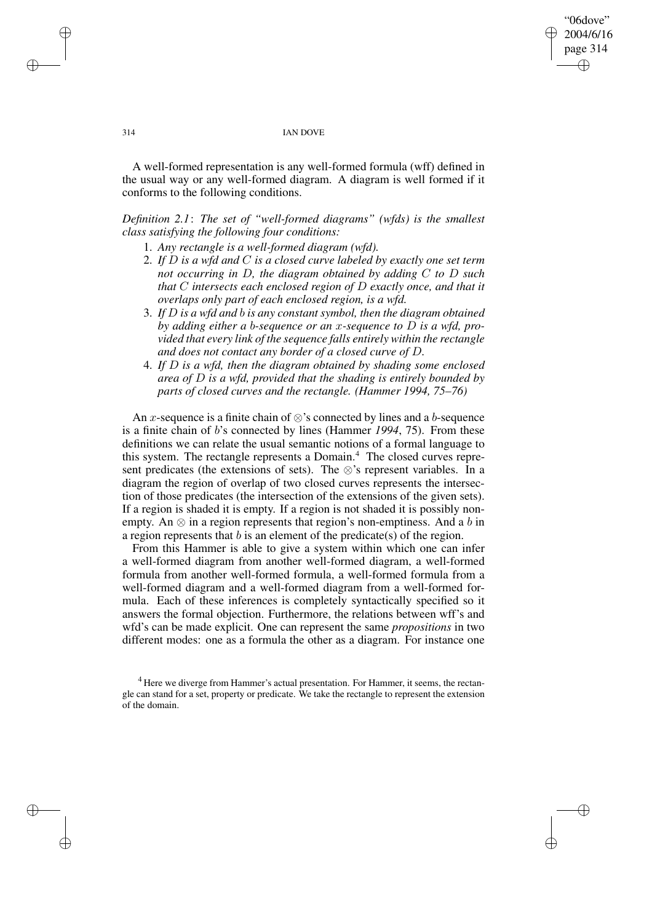"06dove" 2004/6/16 page 314 ✐ ✐

✐

✐

#### 314 IAN DOVE

A well-formed representation is any well-formed formula (wff) defined in the usual way or any well-formed diagram. A diagram is well formed if it conforms to the following conditions.

*Definition 2.1*: *The set of "well-formed diagrams" (wfds) is the smallest class satisfying the following four conditions:*

- 1. *Any rectangle is a well-formed diagram (wfd).*
- 2. *If* D *is a wfd and* C *is a closed curve labeled by exactly one set term not occurring in* D*, the diagram obtained by adding* C *to* D *such that* C *intersects each enclosed region of* D *exactly once, and that it overlaps only part of each enclosed region, is a wfd.*
- 3. *If* D *is a wfd and* b *is any constant symbol, then the diagram obtained by adding either a* b*-sequence or an* x*-sequence to* D *is a wfd, provided that every link of the sequence falls entirely within the rectangle and does not contact any border of a closed curve of* D*.*
- 4. *If* D *is a wfd, then the diagram obtained by shading some enclosed area of* D *is a wfd, provided that the shading is entirely bounded by parts of closed curves and the rectangle. (Hammer 1994, 75–76)*

An x-sequence is a finite chain of  $\otimes$ 's connected by lines and a b-sequence is a finite chain of b's connected by lines (Hammer *1994*, 75). From these definitions we can relate the usual semantic notions of a formal language to this system. The rectangle represents a Domain.<sup>4</sup> The closed curves represent predicates (the extensions of sets). The ⊗'s represent variables. In a diagram the region of overlap of two closed curves represents the intersection of those predicates (the intersection of the extensions of the given sets). If a region is shaded it is empty. If a region is not shaded it is possibly nonempty. An  $\otimes$  in a region represents that region's non-emptiness. And a b in a region represents that  $b$  is an element of the predicate(s) of the region.

From this Hammer is able to give a system within which one can infer a well-formed diagram from another well-formed diagram, a well-formed formula from another well-formed formula, a well-formed formula from a well-formed diagram and a well-formed diagram from a well-formed formula. Each of these inferences is completely syntactically specified so it answers the formal objection. Furthermore, the relations between wff's and wfd's can be made explicit. One can represent the same *propositions* in two different modes: one as a formula the other as a diagram. For instance one

✐

✐

✐

 $4$  Here we diverge from Hammer's actual presentation. For Hammer, it seems, the rectangle can stand for a set, property or predicate. We take the rectangle to represent the extension of the domain.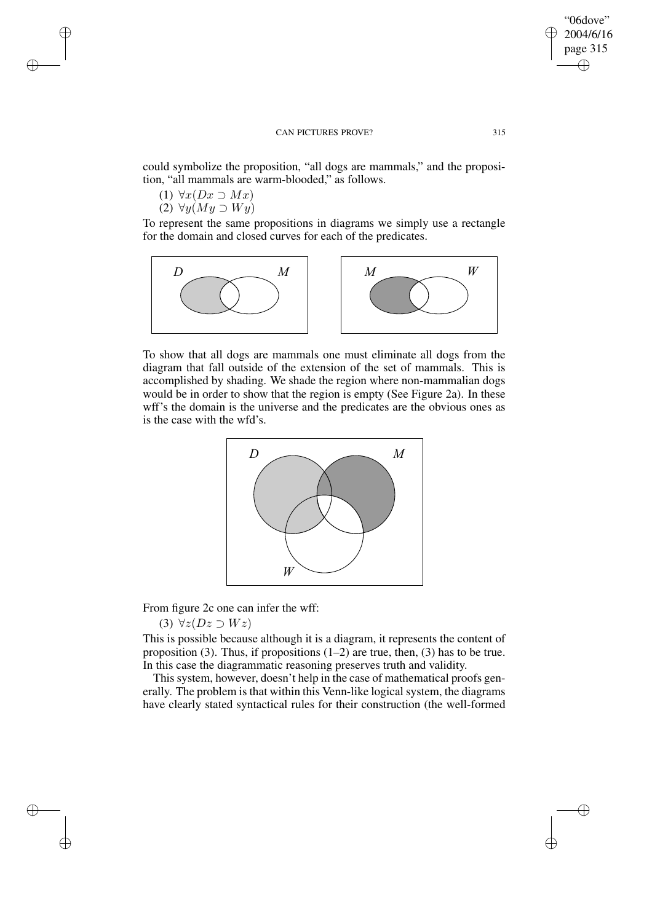could symbolize the proposition, "all dogs are mammals," and the proposition, "all mammals are warm-blooded," as follows.

(1)  $\forall x(Dx \supset Mx)$ 

✐

✐

✐

✐

(2)  $\forall y (My \supset Wy)$ 

To represent the same propositions in diagrams we simply use a rectangle for the domain and closed curves for each of the predicates.



To show that all dogs are mammals one must eliminate all dogs from the diagram that fall outside of the extension of the set of mammals. This is accomplished by shading. We shade the region where non-mammalian dogs would be in order to show that the region is empty (See Figure 2a). In these wff's the domain is the universe and the predicates are the obvious ones as is the case with the wfd's.



From figure 2c one can infer the wff:

(3)  $\forall z(Dz \supset Wz)$ 

This is possible because although it is a diagram, it represents the content of proposition (3). Thus, if propositions  $(1-2)$  are true, then, (3) has to be true. In this case the diagrammatic reasoning preserves truth and validity.

This system, however, doesn't help in the case of mathematical proofs generally. The problem is that within this Venn-like logical system, the diagrams have clearly stated syntactical rules for their construction (the well-formed

"06dove" 2004/6/16 page 315

✐

✐

✐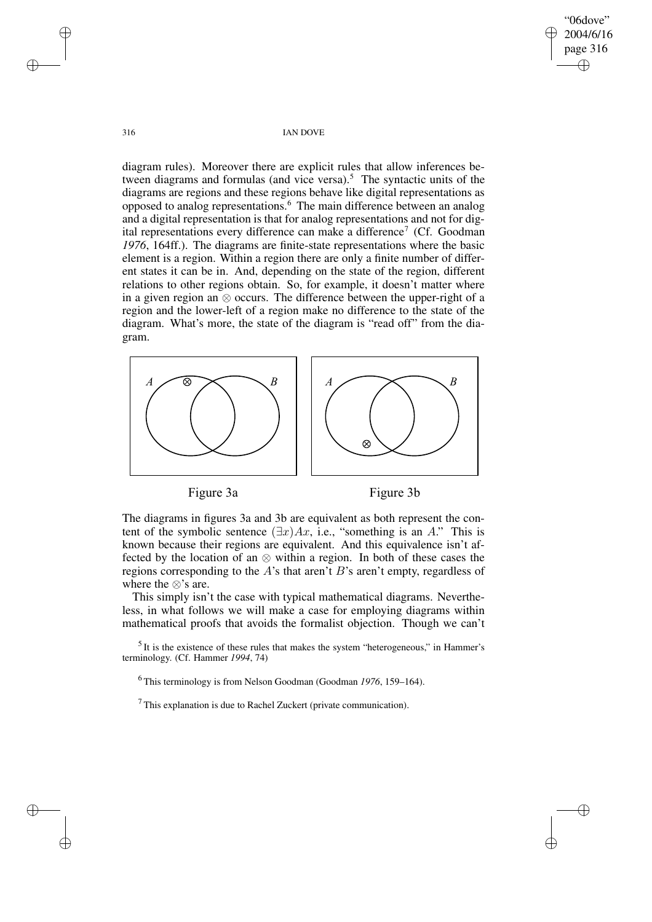"06dove" 2004/6/16 page 316 ✐ ✐

✐

✐

316 IAN DOVE

diagram rules). Moreover there are explicit rules that allow inferences between diagrams and formulas (and vice versa).<sup>5</sup> The syntactic units of the diagrams are regions and these regions behave like digital representations as opposed to analog representations.<sup>6</sup> The main difference between an analog and a digital representation is that for analog representations and not for digital representations every difference can make a difference<sup>7</sup> (Cf. Goodman *1976*, 164ff.). The diagrams are finite-state representations where the basic element is a region. Within a region there are only a finite number of different states it can be in. And, depending on the state of the region, different relations to other regions obtain. So, for example, it doesn't matter where in a given region an ⊗ occurs. The difference between the upper-right of a region and the lower-left of a region make no difference to the state of the diagram. What's more, the state of the diagram is "read off" from the diagram.







The diagrams in figures 3a and 3b are equivalent as both represent the content of the symbolic sentence  $(\exists x)Ax$ , i.e., "something is an A." This is known because their regions are equivalent. And this equivalence isn't affected by the location of an ⊗ within a region. In both of these cases the regions corresponding to the A's that aren't B's aren't empty, regardless of where the ⊗'s are.

This simply isn't the case with typical mathematical diagrams. Nevertheless, in what follows we will make a case for employing diagrams within mathematical proofs that avoids the formalist objection. Though we can't

 $<sup>5</sup>$  It is the existence of these rules that makes the system "heterogeneous," in Hammer's</sup> terminology. (Cf. Hammer *1994*, 74)

<sup>6</sup> This terminology is from Nelson Goodman (Goodman *1976*, 159–164).

 $<sup>7</sup>$  This explanation is due to Rachel Zuckert (private communication).</sup>

✐

✐

✐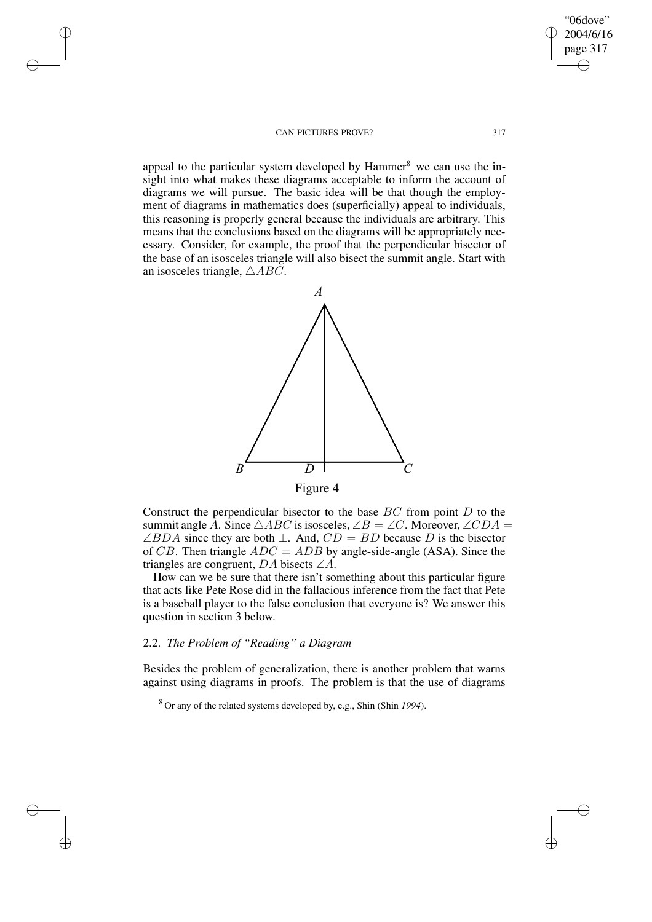✐

✐

✐

✐

appeal to the particular system developed by  $\mu$ ammer<sup>8</sup> we can use the insight into what makes these diagrams acceptable to inform the account of diagrams we will pursue. The basic idea will be that though the employment of diagrams in mathematics does (superficially) appeal to individuals, this reasoning is properly general because the individuals are arbitrary. This means that the conclusions based on the diagrams will be appropriately necessary. Consider, for example, the proof that the perpendicular bisector of the base of an isosceles triangle will also bisect the summit angle. Start with an isosceles triangle,  $\triangle ABC$ .



Construct the perpendicular bisector to the base  $BC$  from point  $D$  to the summit angle A. Since  $\triangle ABC$  is isosceles,  $\angle B = \angle C$ . Moreover,  $\angle CDA =$  $\angle BDA$  since they are both  $\perp$ . And,  $CD = BD$  because D is the bisector of CB. Then triangle  $ADC = ADB$  by angle-side-angle (ASA). Since the triangles are congruent,  $DA$  bisects  $\angle A$ .

How can we be sure that there isn't something about this particular figure that acts like Pete Rose did in the fallacious inference from the fact that Pete is a baseball player to the false conclusion that everyone is? We answer this question in section 3 below.

# 2.2. *The Problem of "Reading" a Diagram*

Besides the problem of generalization, there is another problem that warns against using diagrams in proofs. The problem is that the use of diagrams

<sup>8</sup> Or any of the related systems developed by, e.g., Shin (Shin *1994*).

"06dove" 2004/6/16 page 317

✐

✐

✐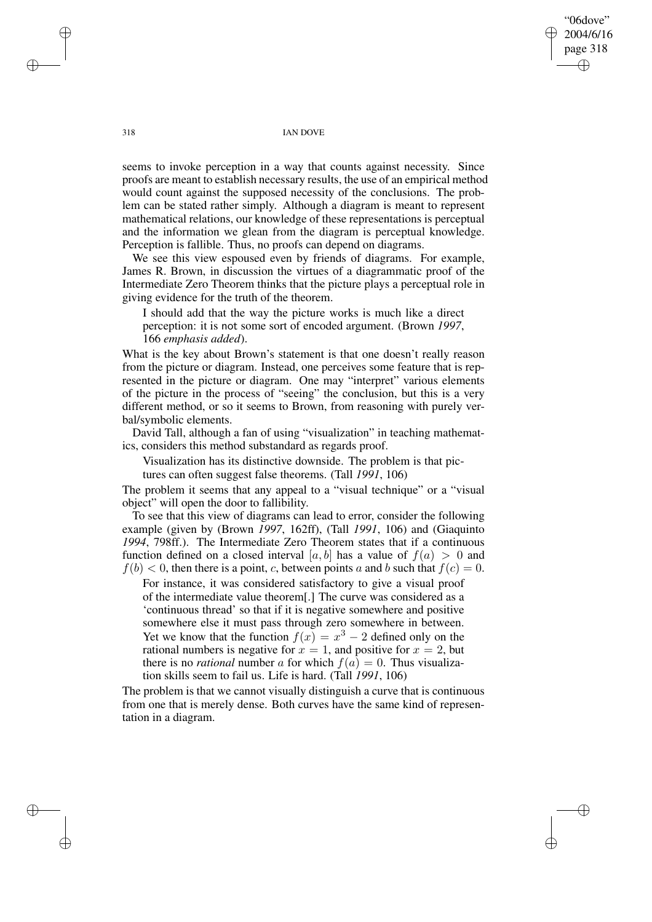"06dove" 2004/6/16 page 318 ✐ ✐

✐

✐

### 318 IAN DOVE

seems to invoke perception in a way that counts against necessity. Since proofs are meant to establish necessary results, the use of an empirical method would count against the supposed necessity of the conclusions. The problem can be stated rather simply. Although a diagram is meant to represent mathematical relations, our knowledge of these representations is perceptual and the information we glean from the diagram is perceptual knowledge. Perception is fallible. Thus, no proofs can depend on diagrams.

We see this view espoused even by friends of diagrams. For example, James R. Brown, in discussion the virtues of a diagrammatic proof of the Intermediate Zero Theorem thinks that the picture plays a perceptual role in giving evidence for the truth of the theorem.

I should add that the way the picture works is much like a direct perception: it is not some sort of encoded argument. (Brown *1997*, 166 *emphasis added*).

What is the key about Brown's statement is that one doesn't really reason from the picture or diagram. Instead, one perceives some feature that is represented in the picture or diagram. One may "interpret" various elements of the picture in the process of "seeing" the conclusion, but this is a very different method, or so it seems to Brown, from reasoning with purely verbal/symbolic elements.

David Tall, although a fan of using "visualization" in teaching mathematics, considers this method substandard as regards proof.

Visualization has its distinctive downside. The problem is that pictures can often suggest false theorems. (Tall *1991*, 106)

The problem it seems that any appeal to a "visual technique" or a "visual object" will open the door to fallibility.

To see that this view of diagrams can lead to error, consider the following example (given by (Brown *1997*, 162ff), (Tall *1991*, 106) and (Giaquinto *1994*, 798ff.). The Intermediate Zero Theorem states that if a continuous function defined on a closed interval [a, b] has a value of  $f(a) > 0$  and  $f(b) < 0$ , then there is a point, c, between points a and b such that  $f(c) = 0$ .

For instance, it was considered satisfactory to give a visual proof of the intermediate value theorem[.] The curve was considered as a 'continuous thread' so that if it is negative somewhere and positive somewhere else it must pass through zero somewhere in between. Yet we know that the function  $f(x) = x^3 - 2$  defined only on the rational numbers is negative for  $x = 1$ , and positive for  $x = 2$ , but there is no *rational* number a for which  $f(a) = 0$ . Thus visualization skills seem to fail us. Life is hard. (Tall *1991*, 106)

The problem is that we cannot visually distinguish a curve that is continuous from one that is merely dense. Both curves have the same kind of representation in a diagram.

✐

✐

✐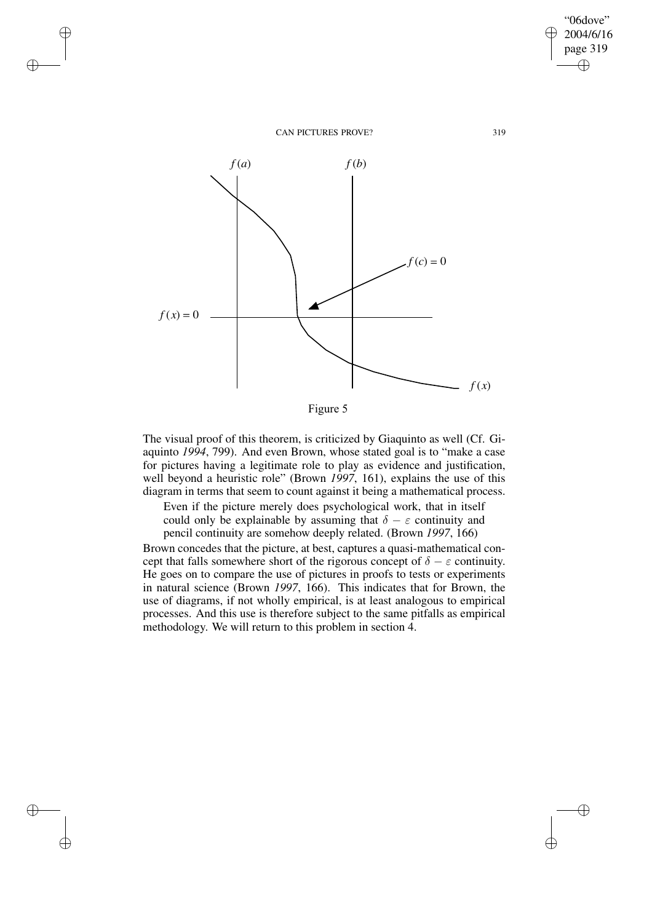✐

✐

✐

✐



Figure 5

The visual proof of this theorem, is criticized by Giaquinto as well (Cf. Giaquinto *1994*, 799). And even Brown, whose stated goal is to "make a case for pictures having a legitimate role to play as evidence and justification, well beyond a heuristic role" (Brown *1997*, 161), explains the use of this diagram in terms that seem to count against it being a mathematical process.

Even if the picture merely does psychological work, that in itself could only be explainable by assuming that  $\delta - \varepsilon$  continuity and pencil continuity are somehow deeply related. (Brown *1997*, 166)

Brown concedes that the picture, at best, captures a quasi-mathematical concept that falls somewhere short of the rigorous concept of  $\delta - \varepsilon$  continuity. He goes on to compare the use of pictures in proofs to tests or experiments in natural science (Brown *1997*, 166). This indicates that for Brown, the use of diagrams, if not wholly empirical, is at least analogous to empirical processes. And this use is therefore subject to the same pitfalls as empirical methodology. We will return to this problem in section 4.

"06dove" 2004/6/16 page 319

✐

✐

 $\bigoplus$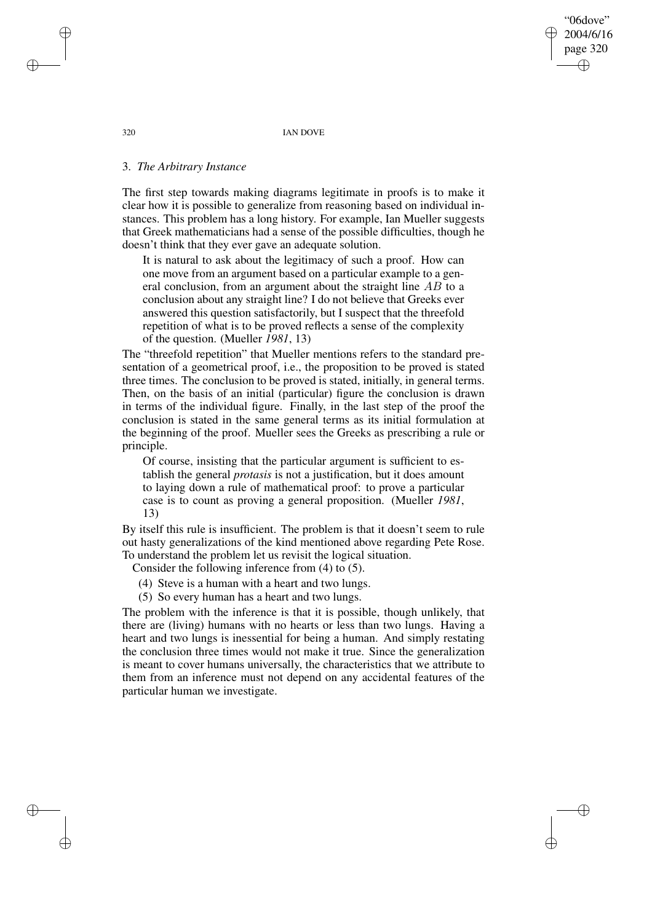"06dove" 2004/6/16 page 320 ✐ ✐

✐

✐

320 IAN DOVE

# 3. *The Arbitrary Instance*

The first step towards making diagrams legitimate in proofs is to make it clear how it is possible to generalize from reasoning based on individual instances. This problem has a long history. For example, Ian Mueller suggests that Greek mathematicians had a sense of the possible difficulties, though he doesn't think that they ever gave an adequate solution.

It is natural to ask about the legitimacy of such a proof. How can one move from an argument based on a particular example to a general conclusion, from an argument about the straight line  $AB$  to a conclusion about any straight line? I do not believe that Greeks ever answered this question satisfactorily, but I suspect that the threefold repetition of what is to be proved reflects a sense of the complexity of the question. (Mueller *1981*, 13)

The "threefold repetition" that Mueller mentions refers to the standard presentation of a geometrical proof, i.e., the proposition to be proved is stated three times. The conclusion to be proved is stated, initially, in general terms. Then, on the basis of an initial (particular) figure the conclusion is drawn in terms of the individual figure. Finally, in the last step of the proof the conclusion is stated in the same general terms as its initial formulation at the beginning of the proof. Mueller sees the Greeks as prescribing a rule or principle.

Of course, insisting that the particular argument is sufficient to establish the general *protasis* is not a justification, but it does amount to laying down a rule of mathematical proof: to prove a particular case is to count as proving a general proposition. (Mueller *1981*, 13)

By itself this rule is insufficient. The problem is that it doesn't seem to rule out hasty generalizations of the kind mentioned above regarding Pete Rose. To understand the problem let us revisit the logical situation.

Consider the following inference from (4) to (5).

(4) Steve is a human with a heart and two lungs.

(5) So every human has a heart and two lungs.

The problem with the inference is that it is possible, though unlikely, that there are (living) humans with no hearts or less than two lungs. Having a heart and two lungs is inessential for being a human. And simply restating the conclusion three times would not make it true. Since the generalization is meant to cover humans universally, the characteristics that we attribute to them from an inference must not depend on any accidental features of the particular human we investigate.

✐

✐

✐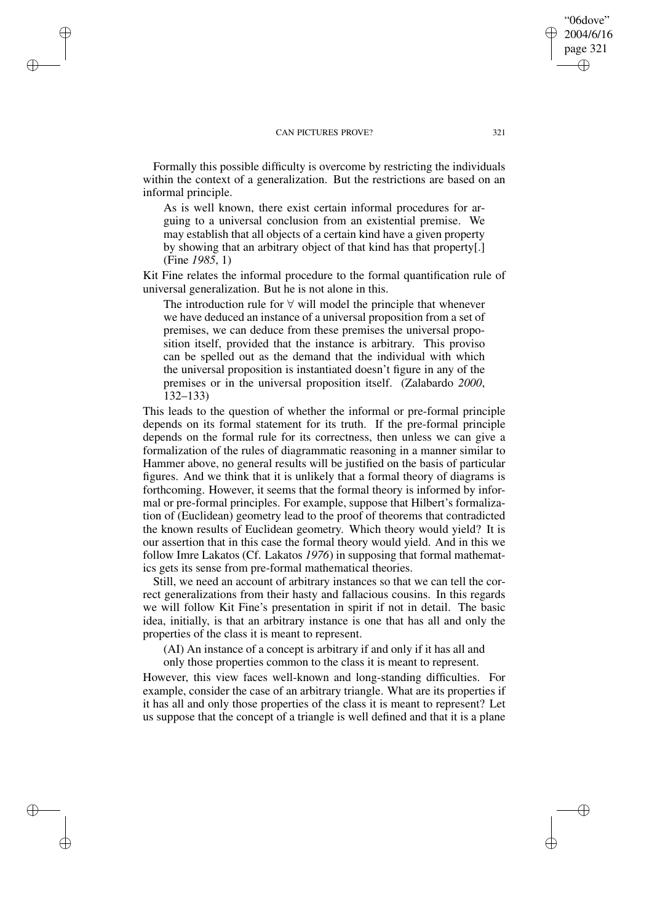✐

✐

✐

✐

Formally this possible difficulty is overcome by restricting the individuals within the context of a generalization. But the restrictions are based on an informal principle.

As is well known, there exist certain informal procedures for arguing to a universal conclusion from an existential premise. We may establish that all objects of a certain kind have a given property by showing that an arbitrary object of that kind has that property[.] (Fine *1985*, 1)

Kit Fine relates the informal procedure to the formal quantification rule of universal generalization. But he is not alone in this.

The introduction rule for  $\forall$  will model the principle that whenever we have deduced an instance of a universal proposition from a set of premises, we can deduce from these premises the universal proposition itself, provided that the instance is arbitrary. This proviso can be spelled out as the demand that the individual with which the universal proposition is instantiated doesn't figure in any of the premises or in the universal proposition itself. (Zalabardo *2000*, 132–133)

This leads to the question of whether the informal or pre-formal principle depends on its formal statement for its truth. If the pre-formal principle depends on the formal rule for its correctness, then unless we can give a formalization of the rules of diagrammatic reasoning in a manner similar to Hammer above, no general results will be justified on the basis of particular figures. And we think that it is unlikely that a formal theory of diagrams is forthcoming. However, it seems that the formal theory is informed by informal or pre-formal principles. For example, suppose that Hilbert's formalization of (Euclidean) geometry lead to the proof of theorems that contradicted the known results of Euclidean geometry. Which theory would yield? It is our assertion that in this case the formal theory would yield. And in this we follow Imre Lakatos (Cf. Lakatos *1976*) in supposing that formal mathematics gets its sense from pre-formal mathematical theories.

Still, we need an account of arbitrary instances so that we can tell the correct generalizations from their hasty and fallacious cousins. In this regards we will follow Kit Fine's presentation in spirit if not in detail. The basic idea, initially, is that an arbitrary instance is one that has all and only the properties of the class it is meant to represent.

(AI) An instance of a concept is arbitrary if and only if it has all and

only those properties common to the class it is meant to represent.

However, this view faces well-known and long-standing difficulties. For example, consider the case of an arbitrary triangle. What are its properties if it has all and only those properties of the class it is meant to represent? Let us suppose that the concept of a triangle is well defined and that it is a plane

"06dove" 2004/6/16 page 321

✐

✐

✐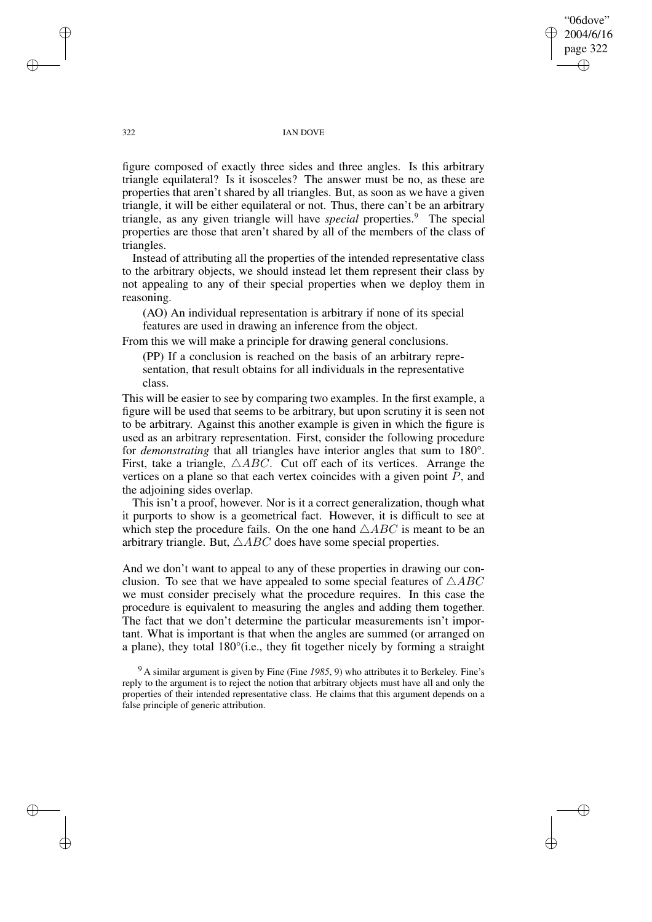"06dove" 2004/6/16 page 322 ✐ ✐

✐

✐

### 322 IAN DOVE

figure composed of exactly three sides and three angles. Is this arbitrary triangle equilateral? Is it isosceles? The answer must be no, as these are properties that aren't shared by all triangles. But, as soon as we have a given triangle, it will be either equilateral or not. Thus, there can't be an arbitrary triangle, as any given triangle will have *special* properties.<sup>9</sup> The special properties are those that aren't shared by all of the members of the class of triangles.

Instead of attributing all the properties of the intended representative class to the arbitrary objects, we should instead let them represent their class by not appealing to any of their special properties when we deploy them in reasoning.

(AO) An individual representation is arbitrary if none of its special features are used in drawing an inference from the object.

From this we will make a principle for drawing general conclusions.

(PP) If a conclusion is reached on the basis of an arbitrary representation, that result obtains for all individuals in the representative class.

This will be easier to see by comparing two examples. In the first example, a figure will be used that seems to be arbitrary, but upon scrutiny it is seen not to be arbitrary. Against this another example is given in which the figure is used as an arbitrary representation. First, consider the following procedure for *demonstrating* that all triangles have interior angles that sum to 180°. First, take a triangle,  $\triangle ABC$ . Cut off each of its vertices. Arrange the vertices on a plane so that each vertex coincides with a given point  $\tilde{P}$ , and the adjoining sides overlap.

This isn't a proof, however. Nor is it a correct generalization, though what it purports to show is a geometrical fact. However, it is difficult to see at which step the procedure fails. On the one hand  $\triangle ABC$  is meant to be an arbitrary triangle. But,  $\triangle ABC$  does have some special properties.

And we don't want to appeal to any of these properties in drawing our conclusion. To see that we have appealed to some special features of  $\triangle ABC$ we must consider precisely what the procedure requires. In this case the procedure is equivalent to measuring the angles and adding them together. The fact that we don't determine the particular measurements isn't important. What is important is that when the angles are summed (or arranged on a plane), they total 180°(i.e., they fit together nicely by forming a straight

<sup>9</sup> A similar argument is given by Fine (Fine *1985*, 9) who attributes it to Berkeley. Fine's reply to the argument is to reject the notion that arbitrary objects must have all and only the properties of their intended representative class. He claims that this argument depends on a false principle of generic attribution.

✐

✐

✐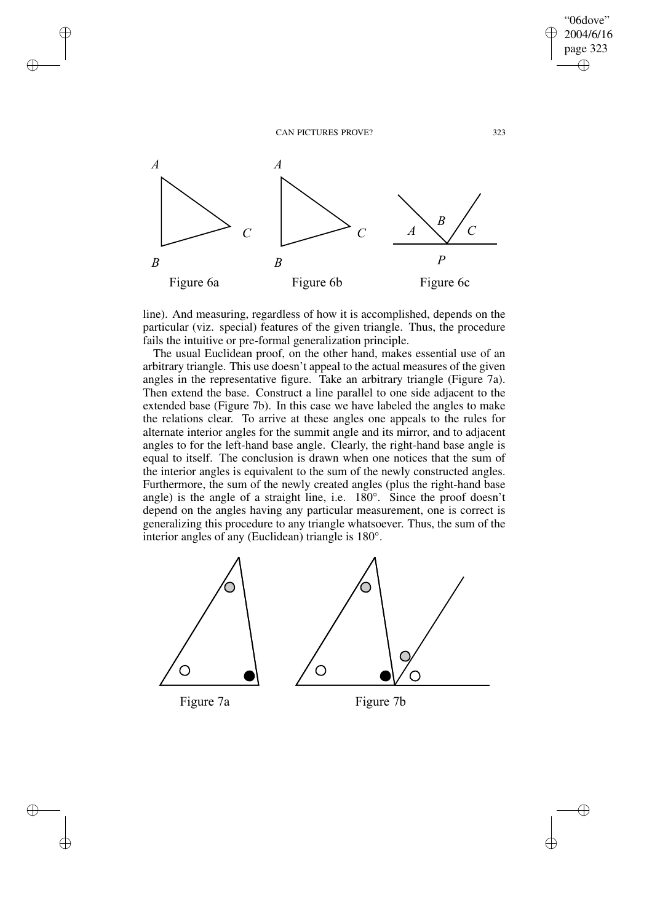

✐

✐

✐

✐

"06dove" 2004/6/16 page 323

✐

✐

 $\bigoplus$ 

✐

line). And measuring, regardless of how it is accomplished, depends on the particular (viz. special) features of the given triangle. Thus, the procedure fails the intuitive or pre-formal generalization principle.

The usual Euclidean proof, on the other hand, makes essential use of an arbitrary triangle. This use doesn't appeal to the actual measures of the given angles in the representative figure. Take an arbitrary triangle (Figure 7a). Then extend the base. Construct a line parallel to one side adjacent to the extended base (Figure 7b). In this case we have labeled the angles to make the relations clear. To arrive at these angles one appeals to the rules for alternate interior angles for the summit angle and its mirror, and to adjacent angles to for the left-hand base angle. Clearly, the right-hand base angle is equal to itself. The conclusion is drawn when one notices that the sum of the interior angles is equivalent to the sum of the newly constructed angles. Furthermore, the sum of the newly created angles (plus the right-hand base angle) is the angle of a straight line, i.e. 180°. Since the proof doesn't depend on the angles having any particular measurement, one is correct is generalizing this procedure to any triangle whatsoever. Thus, the sum of the interior angles of any (Euclidean) triangle is 180°.

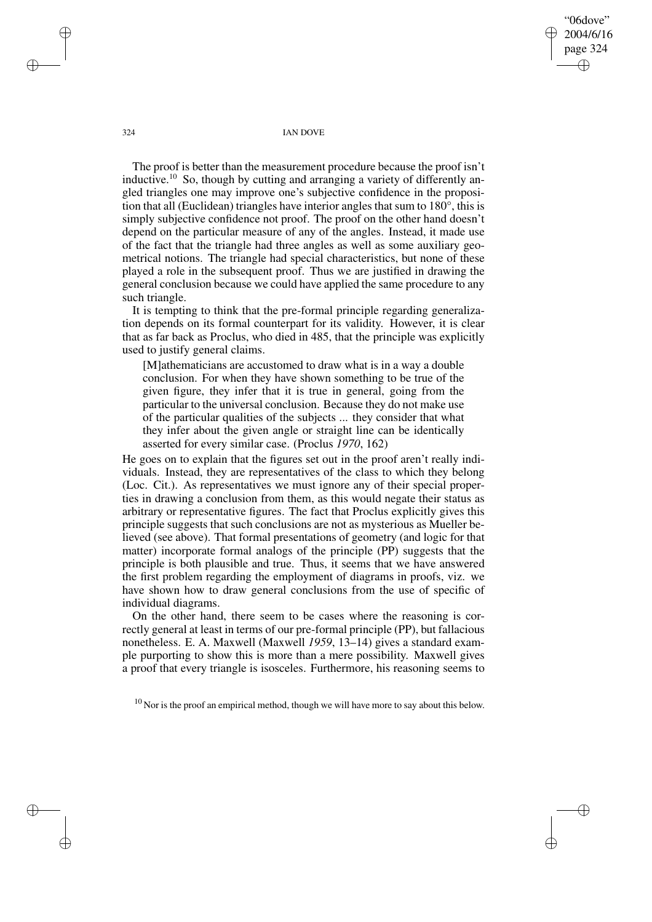"06dove" 2004/6/16 page 324 ✐ ✐

✐

✐

#### 324 IAN DOVE

The proof is better than the measurement procedure because the proof isn't inductive.<sup>10</sup> So, though by cutting and arranging a variety of differently angled triangles one may improve one's subjective confidence in the proposition that all (Euclidean) triangles have interior angles that sum to 180°, this is simply subjective confidence not proof. The proof on the other hand doesn't depend on the particular measure of any of the angles. Instead, it made use of the fact that the triangle had three angles as well as some auxiliary geometrical notions. The triangle had special characteristics, but none of these played a role in the subsequent proof. Thus we are justified in drawing the general conclusion because we could have applied the same procedure to any such triangle.

It is tempting to think that the pre-formal principle regarding generalization depends on its formal counterpart for its validity. However, it is clear that as far back as Proclus, who died in 485, that the principle was explicitly used to justify general claims.

[M]athematicians are accustomed to draw what is in a way a double conclusion. For when they have shown something to be true of the given figure, they infer that it is true in general, going from the particular to the universal conclusion. Because they do not make use of the particular qualities of the subjects ... they consider that what they infer about the given angle or straight line can be identically asserted for every similar case. (Proclus *1970*, 162)

He goes on to explain that the figures set out in the proof aren't really individuals. Instead, they are representatives of the class to which they belong (Loc. Cit.). As representatives we must ignore any of their special properties in drawing a conclusion from them, as this would negate their status as arbitrary or representative figures. The fact that Proclus explicitly gives this principle suggests that such conclusions are not as mysterious as Mueller believed (see above). That formal presentations of geometry (and logic for that matter) incorporate formal analogs of the principle (PP) suggests that the principle is both plausible and true. Thus, it seems that we have answered the first problem regarding the employment of diagrams in proofs, viz. we have shown how to draw general conclusions from the use of specific of individual diagrams.

On the other hand, there seem to be cases where the reasoning is correctly general at least in terms of our pre-formal principle (PP), but fallacious nonetheless. E. A. Maxwell (Maxwell *1959*, 13–14) gives a standard example purporting to show this is more than a mere possibility. Maxwell gives a proof that every triangle is isosceles. Furthermore, his reasoning seems to

 $10$  Nor is the proof an empirical method, though we will have more to say about this below.

✐

✐

✐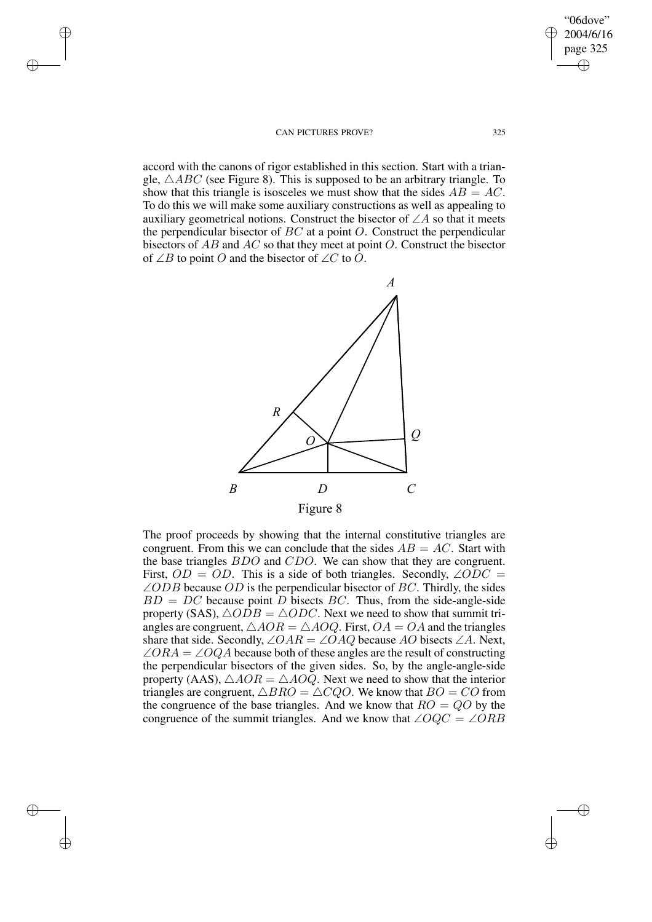✐

✐

✐

✐

accord with the canons of rigor established in this section. Start with a triangle,  $\triangle ABC$  (see Figure 8). This is supposed to be an arbitrary triangle. To show that this triangle is isosceles we must show that the sides  $AB = AC$ . To do this we will make some auxiliary constructions as well as appealing to auxiliary geometrical notions. Construct the bisector of  $\angle A$  so that it meets the perpendicular bisector of  $BC$  at a point  $O$ . Construct the perpendicular bisectors of  $AB$  and  $AC$  so that they meet at point  $O$ . Construct the bisector of ∠B to point O and the bisector of ∠C to O.



The proof proceeds by showing that the internal constitutive triangles are congruent. From this we can conclude that the sides  $AB = AC$ . Start with the base triangles BDO and CDO. We can show that they are congruent. First,  $OD = OD$ . This is a side of both triangles. Secondly,  $\angle ODC =$  $\angle ODB$  because  $OD$  is the perpendicular bisector of BC. Thirdly, the sides  $BD = DC$  because point D bisects BC. Thus, from the side-angle-side property (SAS),  $\triangle O\overline{D}B = \triangle O\overline{D}C$ . Next we need to show that summit triangles are congruent,  $\triangle AOR = \triangle AOO$ . First,  $OA = OA$  and the triangles share that side. Secondly,  $\angle OAR = \angle OAQ$  because AO bisects  $\angle A$ . Next,  $\angle ORA = \angle OQA$  because both of these angles are the result of constructing the perpendicular bisectors of the given sides. So, by the angle-angle-side property (AAS),  $\triangle AOR = \triangle AOQ$ . Next we need to show that the interior triangles are congruent,  $\triangle BRO = \triangle CQO$ . We know that  $BO = CO$  from the congruence of the base triangles. And we know that  $RO = QO$  by the congruence of the summit triangles. And we know that  $\angle OQC = \angle ORB$ 

 $\bigoplus$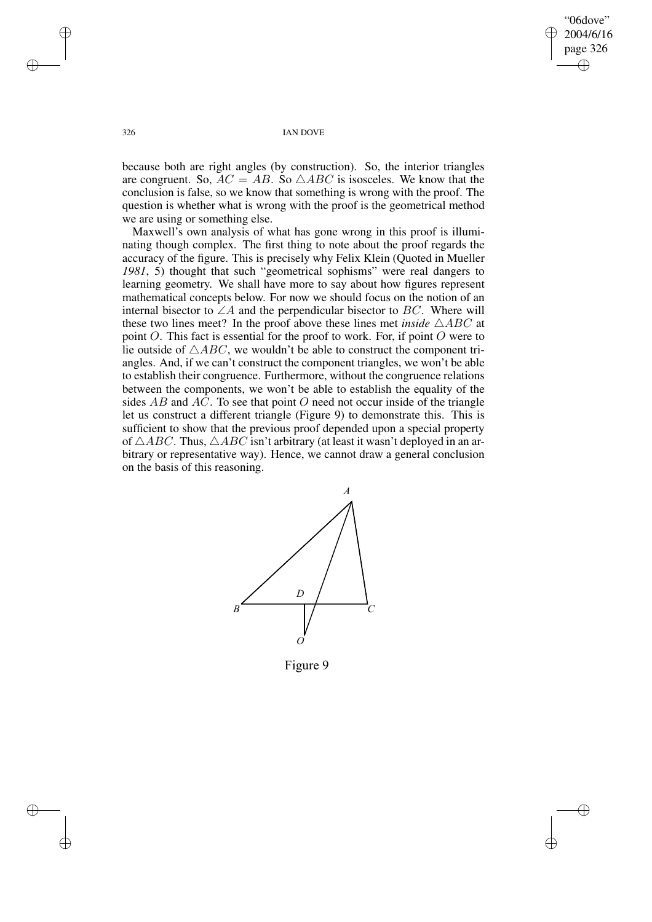"06dove" 2004/6/16 page 326 ✐ ✐

✐

✐

326 IAN DOVE

because both are right angles (by construction). So, the interior triangles are congruent. So,  $AC = AB$ . So  $\triangle ABC$  is isosceles. We know that the conclusion is false, so we know that something is wrong with the proof. The question is whether what is wrong with the proof is the geometrical method we are using or something else.

Maxwell's own analysis of what has gone wrong in this proof is illuminating though complex. The first thing to note about the proof regards the accuracy of the figure. This is precisely why Felix Klein (Quoted in Mueller *1981*, 5) thought that such "geometrical sophisms" were real dangers to learning geometry. We shall have more to say about how figures represent mathematical concepts below. For now we should focus on the notion of an internal bisector to  $\angle A$  and the perpendicular bisector to BC. Where will these two lines meet? In the proof above these lines met *inside*  $\triangle ABC$  at point O. This fact is essential for the proof to work. For, if point O were to lie outside of  $\triangle ABC$ , we wouldn't be able to construct the component triangles. And, if we can't construct the component triangles, we won't be able to establish their congruence. Furthermore, without the congruence relations between the components, we won't be able to establish the equality of the sides  $AB$  and  $AC$ . To see that point O need not occur inside of the triangle let us construct a different triangle (Figure 9) to demonstrate this. This is sufficient to show that the previous proof depended upon a special property of  $\triangle ABC$ . Thus,  $\triangle ABC$  isn't arbitrary (at least it wasn't deployed in an arbitrary or representative way). Hence, we cannot draw a general conclusion on the basis of this reasoning.



Figure 9

✐

✐

✐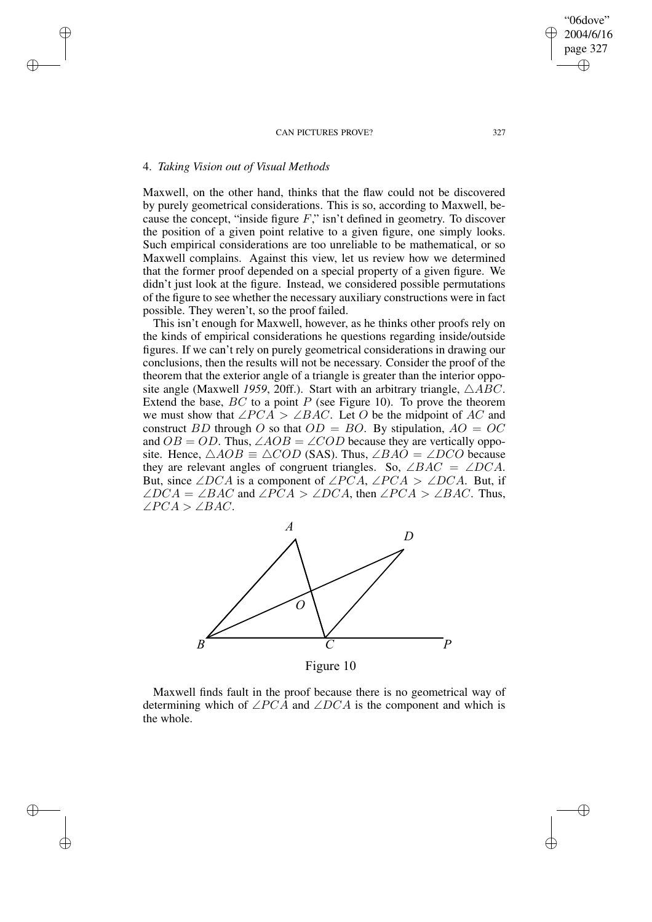# 4. *Taking Vision out of Visual Methods*

✐

✐

✐

✐

Maxwell, on the other hand, thinks that the flaw could not be discovered by purely geometrical considerations. This is so, according to Maxwell, because the concept, "inside figure  $F$ ," isn't defined in geometry. To discover the position of a given point relative to a given figure, one simply looks. Such empirical considerations are too unreliable to be mathematical, or so Maxwell complains. Against this view, let us review how we determined that the former proof depended on a special property of a given figure. We didn't just look at the figure. Instead, we considered possible permutations of the figure to see whether the necessary auxiliary constructions were in fact possible. They weren't, so the proof failed.

This isn't enough for Maxwell, however, as he thinks other proofs rely on the kinds of empirical considerations he questions regarding inside/outside figures. If we can't rely on purely geometrical considerations in drawing our conclusions, then the results will not be necessary. Consider the proof of the theorem that the exterior angle of a triangle is greater than the interior opposite angle (Maxwell 1959, 20ff.). Start with an arbitrary triangle,  $\triangle ABC$ . Extend the base,  $BC$  to a point P (see Figure 10). To prove the theorem we must show that  $\angle PCA > \angle BAC$ . Let O be the midpoint of AC and construct BD through O so that  $OD = BO$ . By stipulation,  $AO = OC$ and  $OB = OD$ . Thus,  $\angle AOB = \angle COD$  because they are vertically opposite. Hence,  $\triangle AOB \equiv \triangle COD$  (SAS). Thus,  $\angle BAO = \angle DCO$  because they are relevant angles of congruent triangles. So,  $\angle BAC = \angle DCA$ . But, since ∠DCA is a component of ∠PCA, ∠PCA > ∠DCA. But, if  $\angle DCA = \angle BAC$  and  $\angle PCA > \angle DCA$ , then  $\angle PCA > \angle BAC$ . Thus, ∠PCA > ∠BAC.



Figure 10

Maxwell finds fault in the proof because there is no geometrical way of determining which of  $\angle PCA$  and  $\angle DCA$  is the component and which is the whole.

"06dove" 2004/6/16 page 327

✐

✐

✐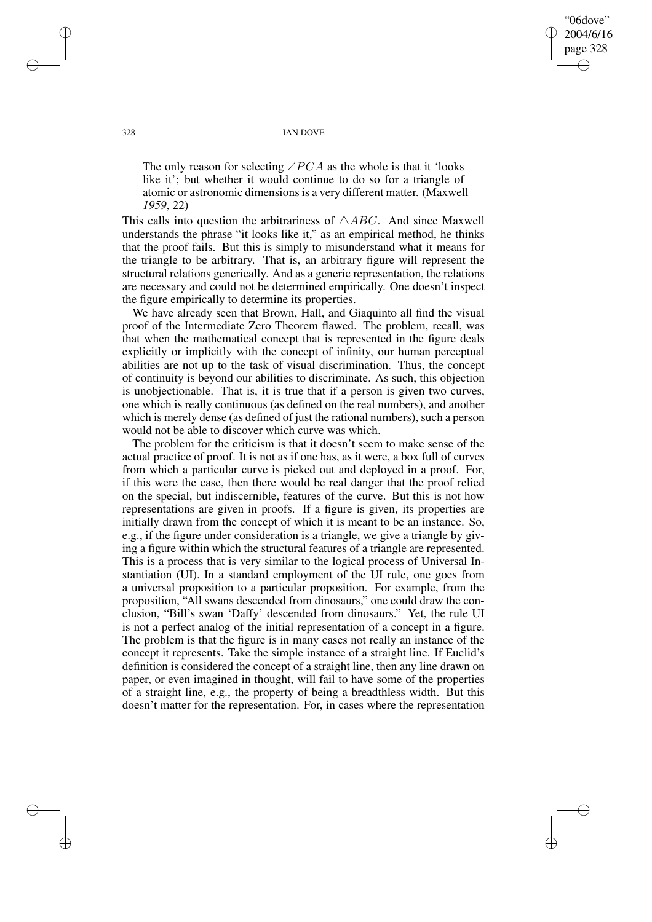"06dove" 2004/6/16 page 328 ✐ ✐

✐

✐

328 IAN DOVE

The only reason for selecting  $\angle PCA$  as the whole is that it 'looks' like it'; but whether it would continue to do so for a triangle of atomic or astronomic dimensions is a very different matter. (Maxwell *1959*, 22)

This calls into question the arbitrariness of  $\triangle ABC$ . And since Maxwell understands the phrase "it looks like it," as an empirical method, he thinks that the proof fails. But this is simply to misunderstand what it means for the triangle to be arbitrary. That is, an arbitrary figure will represent the structural relations generically. And as a generic representation, the relations are necessary and could not be determined empirically. One doesn't inspect the figure empirically to determine its properties.

We have already seen that Brown, Hall, and Giaquinto all find the visual proof of the Intermediate Zero Theorem flawed. The problem, recall, was that when the mathematical concept that is represented in the figure deals explicitly or implicitly with the concept of infinity, our human perceptual abilities are not up to the task of visual discrimination. Thus, the concept of continuity is beyond our abilities to discriminate. As such, this objection is unobjectionable. That is, it is true that if a person is given two curves, one which is really continuous (as defined on the real numbers), and another which is merely dense (as defined of just the rational numbers), such a person would not be able to discover which curve was which.

The problem for the criticism is that it doesn't seem to make sense of the actual practice of proof. It is not as if one has, as it were, a box full of curves from which a particular curve is picked out and deployed in a proof. For, if this were the case, then there would be real danger that the proof relied on the special, but indiscernible, features of the curve. But this is not how representations are given in proofs. If a figure is given, its properties are initially drawn from the concept of which it is meant to be an instance. So, e.g., if the figure under consideration is a triangle, we give a triangle by giving a figure within which the structural features of a triangle are represented. This is a process that is very similar to the logical process of Universal Instantiation (UI). In a standard employment of the UI rule, one goes from a universal proposition to a particular proposition. For example, from the proposition, "All swans descended from dinosaurs," one could draw the conclusion, "Bill's swan 'Daffy' descended from dinosaurs." Yet, the rule UI is not a perfect analog of the initial representation of a concept in a figure. The problem is that the figure is in many cases not really an instance of the concept it represents. Take the simple instance of a straight line. If Euclid's definition is considered the concept of a straight line, then any line drawn on paper, or even imagined in thought, will fail to have some of the properties of a straight line, e.g., the property of being a breadthless width. But this doesn't matter for the representation. For, in cases where the representation

✐

✐

✐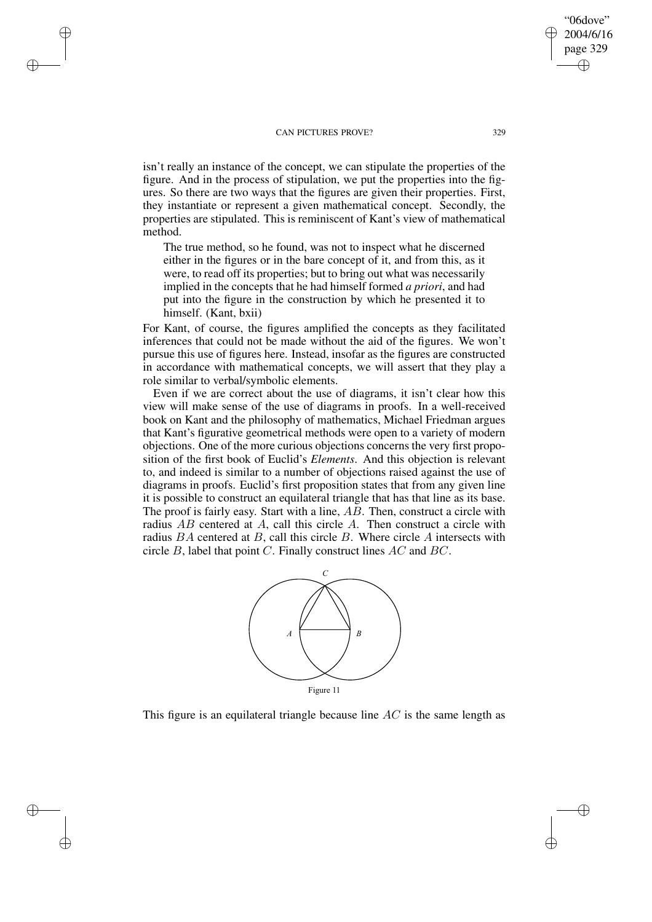✐

✐

✐

✐

isn't really an instance of the concept, we can stipulate the properties of the figure. And in the process of stipulation, we put the properties into the figures. So there are two ways that the figures are given their properties. First, they instantiate or represent a given mathematical concept. Secondly, the properties are stipulated. This is reminiscent of Kant's view of mathematical method.

The true method, so he found, was not to inspect what he discerned either in the figures or in the bare concept of it, and from this, as it were, to read off its properties; but to bring out what was necessarily implied in the concepts that he had himself formed *a priori*, and had put into the figure in the construction by which he presented it to himself. (Kant, bxii)

For Kant, of course, the figures amplified the concepts as they facilitated inferences that could not be made without the aid of the figures. We won't pursue this use of figures here. Instead, insofar as the figures are constructed in accordance with mathematical concepts, we will assert that they play a role similar to verbal/symbolic elements.

Even if we are correct about the use of diagrams, it isn't clear how this view will make sense of the use of diagrams in proofs. In a well-received book on Kant and the philosophy of mathematics, Michael Friedman argues that Kant's figurative geometrical methods were open to a variety of modern objections. One of the more curious objections concerns the very first proposition of the first book of Euclid's *Elements*. And this objection is relevant to, and indeed is similar to a number of objections raised against the use of diagrams in proofs. Euclid's first proposition states that from any given line it is possible to construct an equilateral triangle that has that line as its base. The proof is fairly easy. Start with a line, AB. Then, construct a circle with radius AB centered at A, call this circle A. Then construct a circle with radius  $BA$  centered at B, call this circle B. Where circle A intersects with circle B, label that point C. Finally construct lines AC and BC.



This figure is an equilateral triangle because line  $AC$  is the same length as

"06dove" 2004/6/16 page 329

✐

✐

✐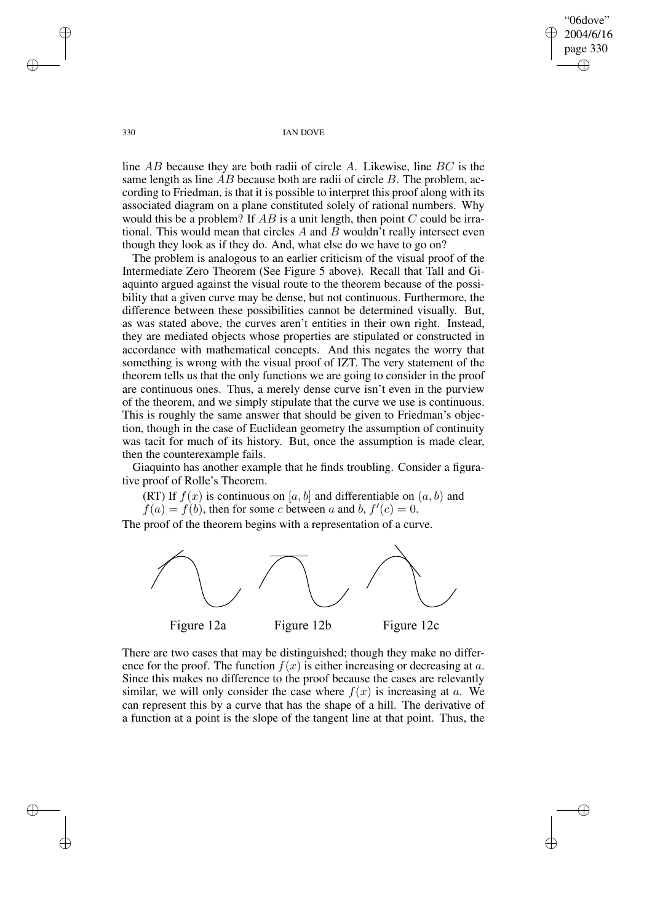"06dove" 2004/6/16 page 330 ✐ ✐

✐

✐

330 IAN DOVE

line AB because they are both radii of circle A. Likewise, line BC is the same length as line  $\overline{AB}$  because both are radii of circle  $\overline{B}$ . The problem, according to Friedman, is that it is possible to interpret this proof along with its associated diagram on a plane constituted solely of rational numbers. Why would this be a problem? If  $AB$  is a unit length, then point  $C$  could be irrational. This would mean that circles  $A$  and  $B$  wouldn't really intersect even though they look as if they do. And, what else do we have to go on?

The problem is analogous to an earlier criticism of the visual proof of the Intermediate Zero Theorem (See Figure 5 above). Recall that Tall and Giaquinto argued against the visual route to the theorem because of the possibility that a given curve may be dense, but not continuous. Furthermore, the difference between these possibilities cannot be determined visually. But, as was stated above, the curves aren't entities in their own right. Instead, they are mediated objects whose properties are stipulated or constructed in accordance with mathematical concepts. And this negates the worry that something is wrong with the visual proof of IZT. The very statement of the theorem tells us that the only functions we are going to consider in the proof are continuous ones. Thus, a merely dense curve isn't even in the purview of the theorem, and we simply stipulate that the curve we use is continuous. This is roughly the same answer that should be given to Friedman's objection, though in the case of Euclidean geometry the assumption of continuity was tacit for much of its history. But, once the assumption is made clear, then the counterexample fails.

Giaquinto has another example that he finds troubling. Consider a figurative proof of Rolle's Theorem.

(RT) If  $f(x)$  is continuous on [a, b] and differentiable on  $(a, b)$  and

 $f(a) = f(b)$ , then for some c between a and b,  $f'(c) = 0$ .

The proof of the theorem begins with a representation of a curve.



There are two cases that may be distinguished; though they make no difference for the proof. The function  $f(x)$  is either increasing or decreasing at a. Since this makes no difference to the proof because the cases are relevantly similar, we will only consider the case where  $f(x)$  is increasing at a. We can represent this by a curve that has the shape of a hill. The derivative of a function at a point is the slope of the tangent line at that point. Thus, the

✐

✐

✐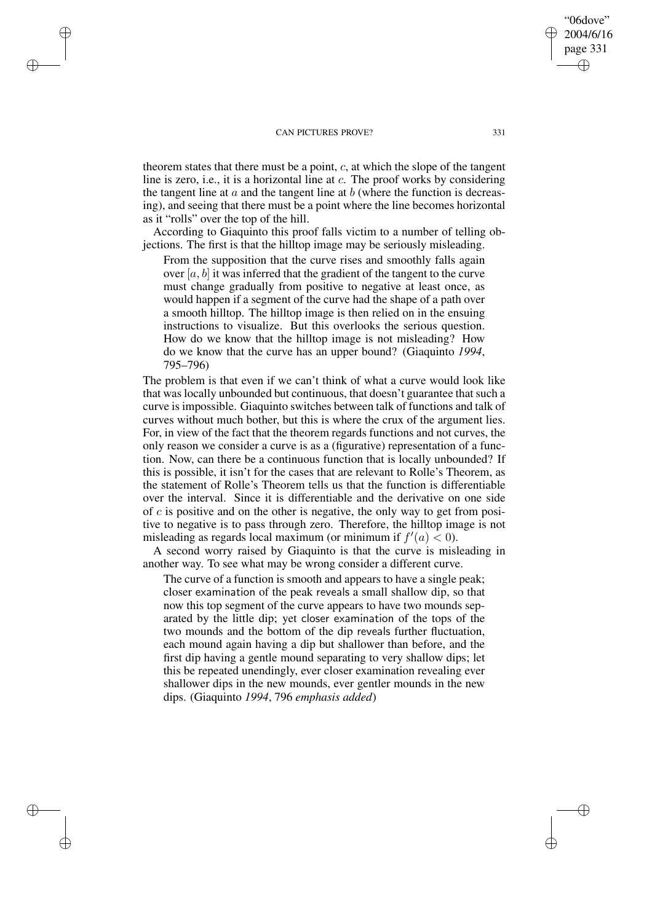✐

✐

✐

✐

theorem states that there must be a point,  $c$ , at which the slope of the tangent line is zero, i.e., it is a horizontal line at c. The proof works by considering the tangent line at  $a$  and the tangent line at  $b$  (where the function is decreasing), and seeing that there must be a point where the line becomes horizontal as it "rolls" over the top of the hill.

According to Giaquinto this proof falls victim to a number of telling objections. The first is that the hilltop image may be seriously misleading.

From the supposition that the curve rises and smoothly falls again over  $[a, b]$  it was inferred that the gradient of the tangent to the curve must change gradually from positive to negative at least once, as would happen if a segment of the curve had the shape of a path over a smooth hilltop. The hilltop image is then relied on in the ensuing instructions to visualize. But this overlooks the serious question. How do we know that the hilltop image is not misleading? How do we know that the curve has an upper bound? (Giaquinto *1994*, 795–796)

The problem is that even if we can't think of what a curve would look like that was locally unbounded but continuous, that doesn't guarantee that such a curve is impossible. Giaquinto switches between talk of functions and talk of curves without much bother, but this is where the crux of the argument lies. For, in view of the fact that the theorem regards functions and not curves, the only reason we consider a curve is as a (figurative) representation of a function. Now, can there be a continuous function that is locally unbounded? If this is possible, it isn't for the cases that are relevant to Rolle's Theorem, as the statement of Rolle's Theorem tells us that the function is differentiable over the interval. Since it is differentiable and the derivative on one side of  $c$  is positive and on the other is negative, the only way to get from positive to negative is to pass through zero. Therefore, the hilltop image is not misleading as regards local maximum (or minimum if  $f'(a) < 0$ ).

A second worry raised by Giaquinto is that the curve is misleading in another way. To see what may be wrong consider a different curve.

The curve of a function is smooth and appears to have a single peak; closer examination of the peak reveals a small shallow dip, so that now this top segment of the curve appears to have two mounds separated by the little dip; yet closer examination of the tops of the two mounds and the bottom of the dip reveals further fluctuation, each mound again having a dip but shallower than before, and the first dip having a gentle mound separating to very shallow dips; let this be repeated unendingly, ever closer examination revealing ever shallower dips in the new mounds, ever gentler mounds in the new dips. (Giaquinto *1994*, 796 *emphasis added*)

"06dove" 2004/6/16 page 331

✐

✐

✐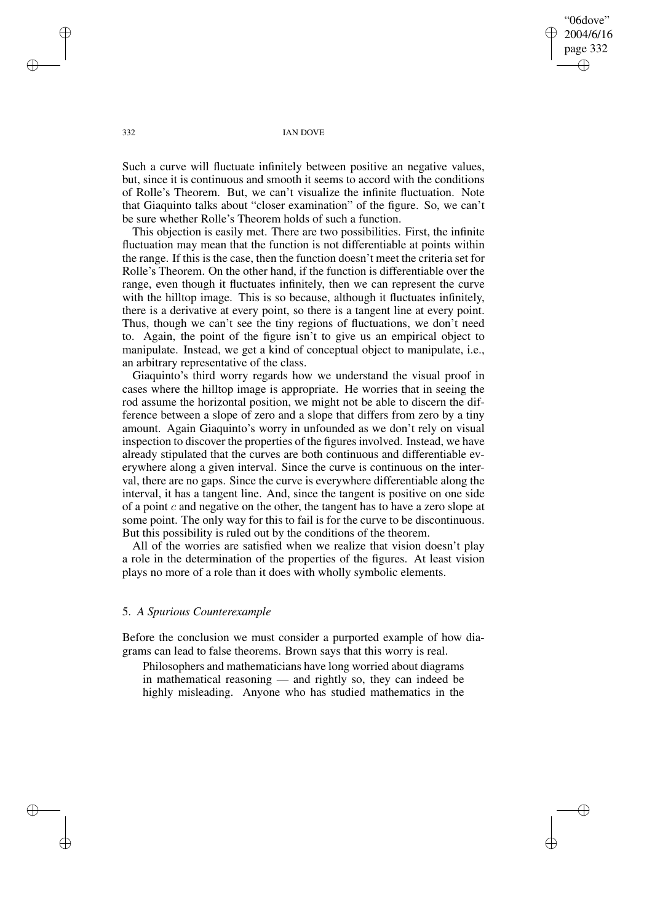"06dove" 2004/6/16 page 332 ✐ ✐

✐

✐

332 IAN DOVE

Such a curve will fluctuate infinitely between positive an negative values, but, since it is continuous and smooth it seems to accord with the conditions of Rolle's Theorem. But, we can't visualize the infinite fluctuation. Note that Giaquinto talks about "closer examination" of the figure. So, we can't be sure whether Rolle's Theorem holds of such a function.

This objection is easily met. There are two possibilities. First, the infinite fluctuation may mean that the function is not differentiable at points within the range. If this is the case, then the function doesn't meet the criteria set for Rolle's Theorem. On the other hand, if the function is differentiable over the range, even though it fluctuates infinitely, then we can represent the curve with the hilltop image. This is so because, although it fluctuates infinitely, there is a derivative at every point, so there is a tangent line at every point. Thus, though we can't see the tiny regions of fluctuations, we don't need to. Again, the point of the figure isn't to give us an empirical object to manipulate. Instead, we get a kind of conceptual object to manipulate, i.e., an arbitrary representative of the class.

Giaquinto's third worry regards how we understand the visual proof in cases where the hilltop image is appropriate. He worries that in seeing the rod assume the horizontal position, we might not be able to discern the difference between a slope of zero and a slope that differs from zero by a tiny amount. Again Giaquinto's worry in unfounded as we don't rely on visual inspection to discover the properties of the figures involved. Instead, we have already stipulated that the curves are both continuous and differentiable everywhere along a given interval. Since the curve is continuous on the interval, there are no gaps. Since the curve is everywhere differentiable along the interval, it has a tangent line. And, since the tangent is positive on one side of a point  $c$  and negative on the other, the tangent has to have a zero slope at some point. The only way for this to fail is for the curve to be discontinuous. But this possibility is ruled out by the conditions of the theorem.

All of the worries are satisfied when we realize that vision doesn't play a role in the determination of the properties of the figures. At least vision plays no more of a role than it does with wholly symbolic elements.

## 5. *A Spurious Counterexample*

Before the conclusion we must consider a purported example of how diagrams can lead to false theorems. Brown says that this worry is real.

Philosophers and mathematicians have long worried about diagrams in mathematical reasoning — and rightly so, they can indeed be highly misleading. Anyone who has studied mathematics in the

✐

✐

✐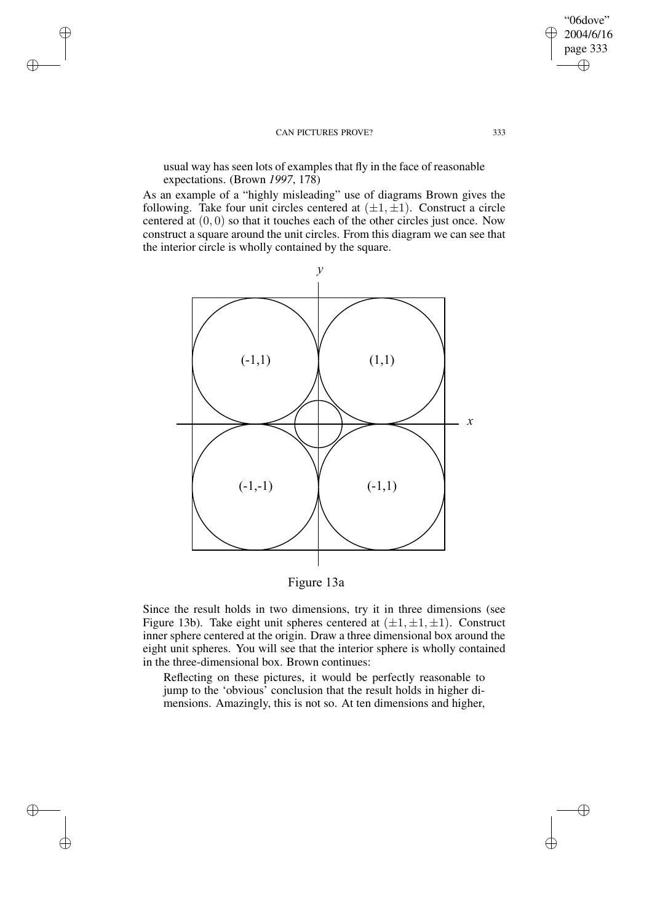✐

✐

✐

✐

usual way has seen lots of examples that fly in the face of reasonable expectations. (Brown *1997*, 178)

As an example of a "highly misleading" use of diagrams Brown gives the following. Take four unit circles centered at  $(\pm 1, \pm 1)$ . Construct a circle centered at (0, 0) so that it touches each of the other circles just once. Now construct a square around the unit circles. From this diagram we can see that the interior circle is wholly contained by the square.



Figure 13a

Since the result holds in two dimensions, try it in three dimensions (see Figure 13b). Take eight unit spheres centered at  $(\pm 1, \pm 1, \pm 1)$ . Construct inner sphere centered at the origin. Draw a three dimensional box around the eight unit spheres. You will see that the interior sphere is wholly contained in the three-dimensional box. Brown continues:

Reflecting on these pictures, it would be perfectly reasonable to jump to the 'obvious' conclusion that the result holds in higher dimensions. Amazingly, this is not so. At ten dimensions and higher,

"06dove" 2004/6/16 page 333

 $\bigoplus$ 

✐

 $\bigoplus$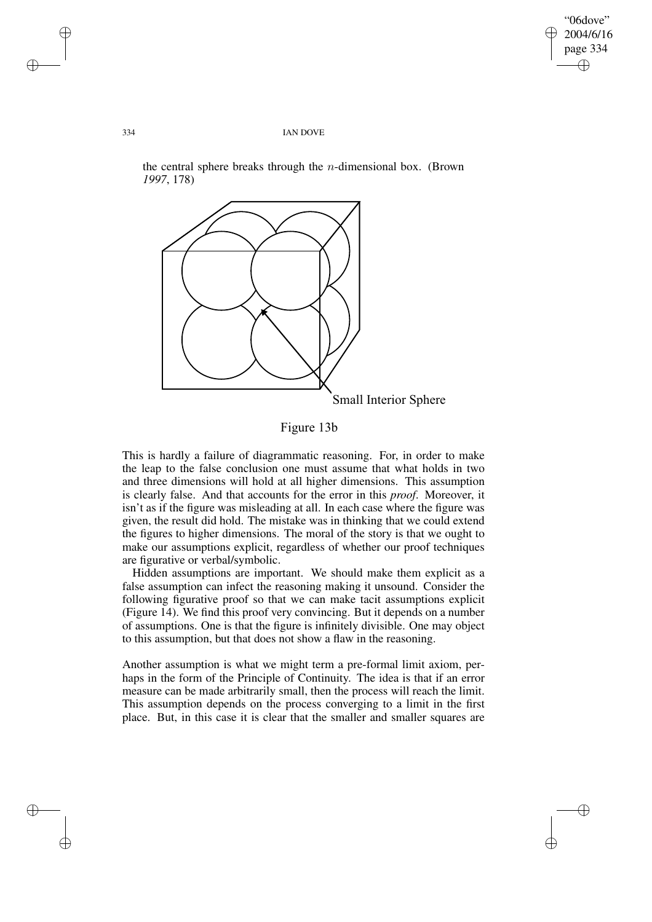✐

✐

#### 334 IAN DOVE

Small Interior Sphere

the central sphere breaks through the  $n$ -dimensional box. (Brown *1997*, 178)

Figure 13b

This is hardly a failure of diagrammatic reasoning. For, in order to make the leap to the false conclusion one must assume that what holds in two and three dimensions will hold at all higher dimensions. This assumption is clearly false. And that accounts for the error in this *proof*. Moreover, it isn't as if the figure was misleading at all. In each case where the figure was given, the result did hold. The mistake was in thinking that we could extend the figures to higher dimensions. The moral of the story is that we ought to make our assumptions explicit, regardless of whether our proof techniques are figurative or verbal/symbolic.

Hidden assumptions are important. We should make them explicit as a false assumption can infect the reasoning making it unsound. Consider the following figurative proof so that we can make tacit assumptions explicit (Figure 14). We find this proof very convincing. But it depends on a number of assumptions. One is that the figure is infinitely divisible. One may object to this assumption, but that does not show a flaw in the reasoning.

Another assumption is what we might term a pre-formal limit axiom, perhaps in the form of the Principle of Continuity. The idea is that if an error measure can be made arbitrarily small, then the process will reach the limit. This assumption depends on the process converging to a limit in the first place. But, in this case it is clear that the smaller and smaller squares are

✐

✐

✐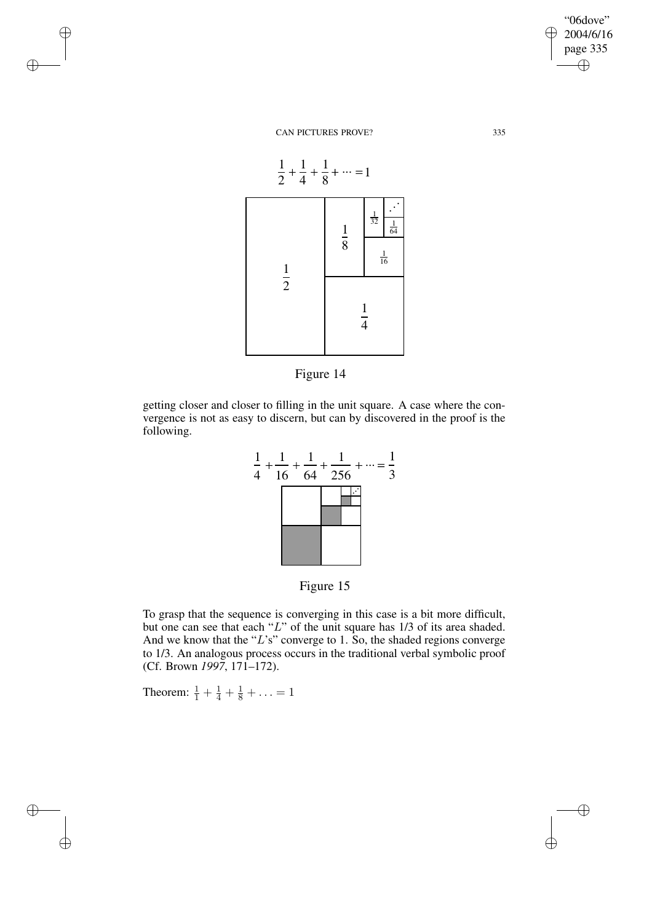"06dove" 2004/6/16 page 335 ✐ ✐

✐

✐

CAN PICTURES PROVE? 335

✐

✐

 $\oplus$ 

✐





getting closer and closer to filling in the unit square. A case where the convergence is not as easy to discern, but can by discovered in the proof is the following.



Figure 15

To grasp that the sequence is converging in this case is a bit more difficult, but one can see that each "L" of the unit square has 1/3 of its area shaded. And we know that the "L's" converge to 1. So, the shaded regions converge to 1/3. An analogous process occurs in the traditional verbal symbolic proof (Cf. Brown *1997*, 171–172).

Theorem:  $\frac{1}{1} + \frac{1}{4} + \frac{1}{8} + \ldots = 1$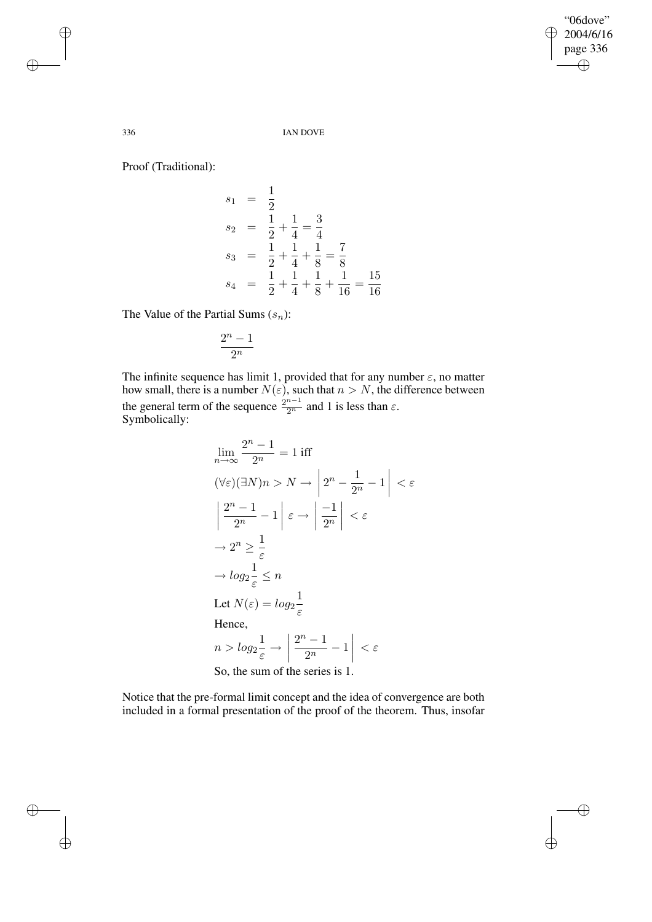$\bigoplus$ 

 $\oplus$ 

## 336 IAN DOVE

Proof (Traditional):

$$
s_1 = \frac{1}{2}
$$
  
\n
$$
s_2 = \frac{1}{2} + \frac{1}{4} = \frac{3}{4}
$$
  
\n
$$
s_3 = \frac{1}{2} + \frac{1}{4} + \frac{1}{8} = \frac{7}{8}
$$
  
\n
$$
s_4 = \frac{1}{2} + \frac{1}{4} + \frac{1}{8} + \frac{1}{16} = \frac{15}{16}
$$

The Value of the Partial Sums  $(s_n)$ :

$$
\frac{2^n-1}{2^n}
$$

The infinite sequence has limit 1, provided that for any number  $\varepsilon$ , no matter how small, there is a number  $N(\varepsilon)$ , such that  $n > N$ , the difference between the general term of the sequence  $\frac{2^{n-1}}{2^n}$  and 1 is less than  $\varepsilon$ . Symbolically:

$$
\lim_{n \to \infty} \frac{2^n - 1}{2^n} = 1 \text{ iff}
$$
\n
$$
(\forall \varepsilon)(\exists N)n > N \to \left| 2^n - \frac{1}{2^n} - 1 \right| < \varepsilon
$$
\n
$$
\left| \frac{2^n - 1}{2^n} - 1 \right| \varepsilon \to \left| \frac{-1}{2^n} \right| < \varepsilon
$$
\n
$$
\to 2^n \ge \frac{1}{\varepsilon}
$$
\n
$$
\to \log_2 \frac{1}{\varepsilon} \le n
$$
\nLet  $N(\varepsilon) = \log_2 \frac{1}{\varepsilon}$   
\nHence,  
\n
$$
n > \log_2 \frac{1}{\varepsilon} \to \left| \frac{2^n - 1}{2^n} - 1 \right| < \varepsilon
$$
\nSo, the sum of the series is 1.

Notice that the pre-formal limit concept and the idea of convergence are both included in a formal presentation of the proof of the theorem. Thus, insofar

✐

✐

 $\oplus$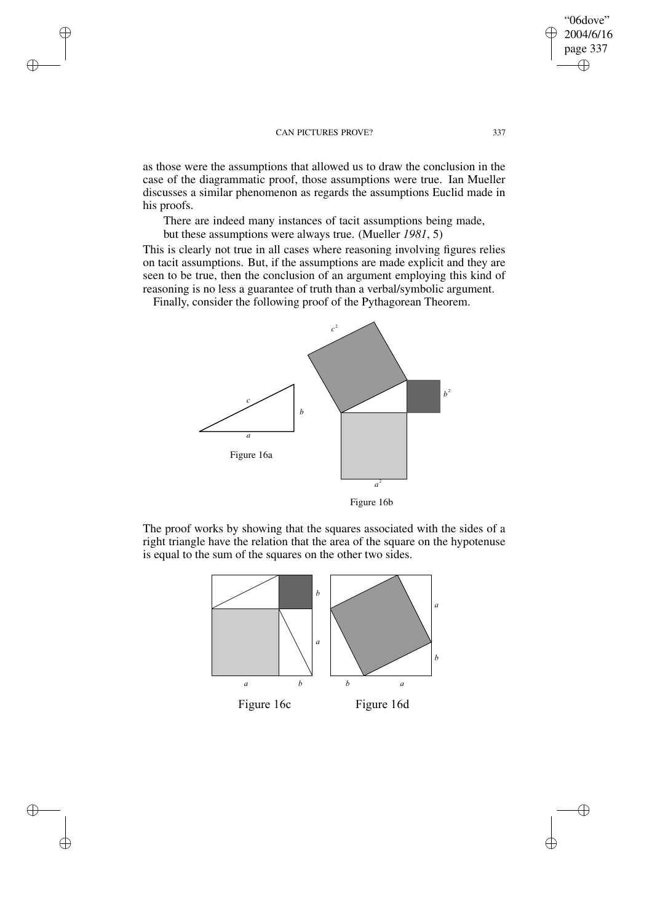✐

✐

✐

✐

as those were the assumptions that allowed us to draw the conclusion in the case of the diagrammatic proof, those assumptions were true. Ian Mueller discusses a similar phenomenon as regards the assumptions Euclid made in his proofs.

There are indeed many instances of tacit assumptions being made, but these assumptions were always true. (Mueller *1981*, 5)

This is clearly not true in all cases where reasoning involving figures relies on tacit assumptions. But, if the assumptions are made explicit and they are seen to be true, then the conclusion of an argument employing this kind of reasoning is no less a guarantee of truth than a verbal/symbolic argument.

Finally, consider the following proof of the Pythagorean Theorem.



Figure 16b

The proof works by showing that the squares associated with the sides of a right triangle have the relation that the area of the square on the hypotenuse is equal to the sum of the squares on the other two sides.



"06dove" 2004/6/16 page 337

✐

✐

 $\oplus$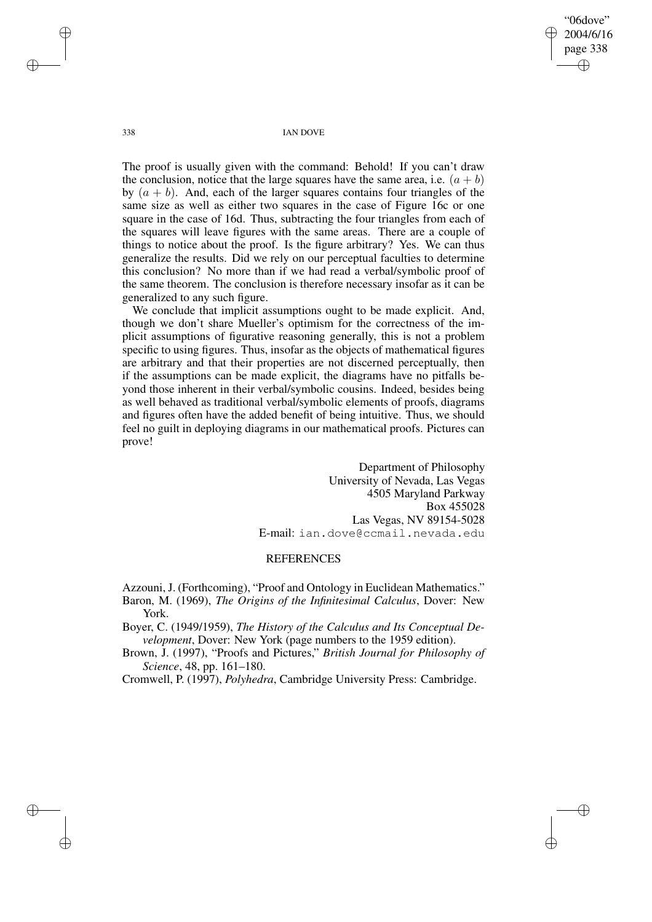"06dove" 2004/6/16 page 338 ✐ ✐

✐

✐

338 IAN DOVE

The proof is usually given with the command: Behold! If you can't draw the conclusion, notice that the large squares have the same area, i.e.  $(a + b)$ by  $(a + b)$ . And, each of the larger squares contains four triangles of the same size as well as either two squares in the case of Figure 16c or one square in the case of 16d. Thus, subtracting the four triangles from each of the squares will leave figures with the same areas. There are a couple of things to notice about the proof. Is the figure arbitrary? Yes. We can thus generalize the results. Did we rely on our perceptual faculties to determine this conclusion? No more than if we had read a verbal/symbolic proof of the same theorem. The conclusion is therefore necessary insofar as it can be generalized to any such figure.

We conclude that implicit assumptions ought to be made explicit. And, though we don't share Mueller's optimism for the correctness of the implicit assumptions of figurative reasoning generally, this is not a problem specific to using figures. Thus, insofar as the objects of mathematical figures are arbitrary and that their properties are not discerned perceptually, then if the assumptions can be made explicit, the diagrams have no pitfalls beyond those inherent in their verbal/symbolic cousins. Indeed, besides being as well behaved as traditional verbal/symbolic elements of proofs, diagrams and figures often have the added benefit of being intuitive. Thus, we should feel no guilt in deploying diagrams in our mathematical proofs. Pictures can prove!

> Department of Philosophy University of Nevada, Las Vegas 4505 Maryland Parkway Box 455028 Las Vegas, NV 89154-5028 E-mail: ian.dove@ccmail.nevada.edu

# **REFERENCES**

Azzouni, J. (Forthcoming), "Proof and Ontology in Euclidean Mathematics." Baron, M. (1969), *The Origins of the Infinitesimal Calculus*, Dover: New York.

Boyer, C. (1949/1959), *The History of the Calculus and Its Conceptual Development*, Dover: New York (page numbers to the 1959 edition).

Brown, J. (1997), "Proofs and Pictures," *British Journal for Philosophy of Science*, 48, pp. 161–180.

Cromwell, P. (1997), *Polyhedra*, Cambridge University Press: Cambridge.

✐

✐

✐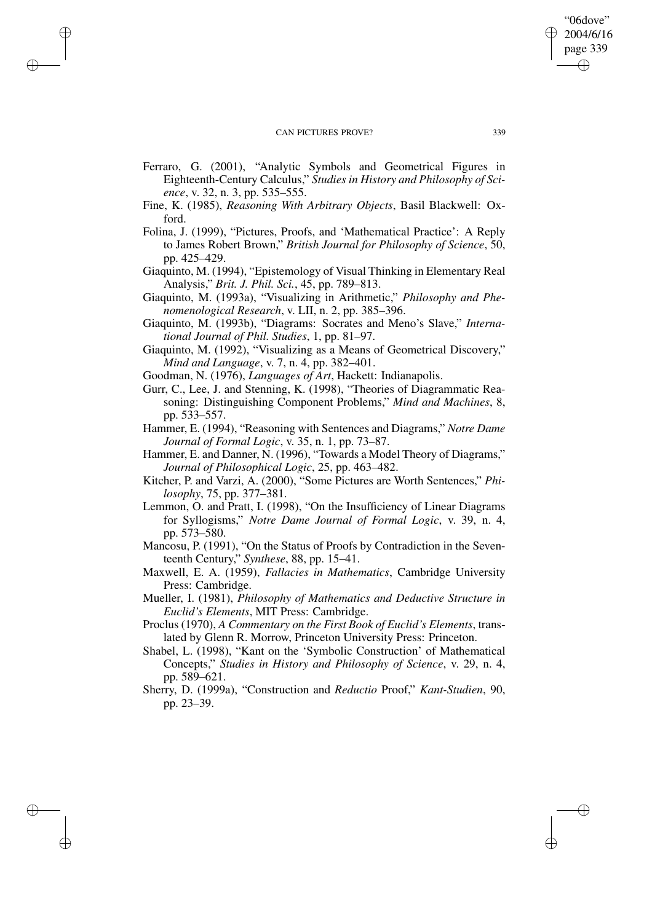✐

✐

✐

✐

- Ferraro, G. (2001), "Analytic Symbols and Geometrical Figures in Eighteenth-Century Calculus," *Studies in History and Philosophy of Science*, v. 32, n. 3, pp. 535–555.
- Fine, K. (1985), *Reasoning With Arbitrary Objects*, Basil Blackwell: Oxford.
- Folina, J. (1999), "Pictures, Proofs, and 'Mathematical Practice': A Reply to James Robert Brown," *British Journal for Philosophy of Science*, 50, pp. 425–429.
- Giaquinto, M. (1994), "Epistemology of Visual Thinking in Elementary Real Analysis," *Brit. J. Phil. Sci.*, 45, pp. 789–813.
- Giaquinto, M. (1993a), "Visualizing in Arithmetic," *Philosophy and Phenomenological Research*, v. LII, n. 2, pp. 385–396.
- Giaquinto, M. (1993b), "Diagrams: Socrates and Meno's Slave," *International Journal of Phil. Studies*, 1, pp. 81–97.
- Giaquinto, M. (1992), "Visualizing as a Means of Geometrical Discovery," *Mind and Language*, v. 7, n. 4, pp. 382–401.
- Goodman, N. (1976), *Languages of Art*, Hackett: Indianapolis.
- Gurr, C., Lee, J. and Stenning, K. (1998), "Theories of Diagrammatic Reasoning: Distinguishing Component Problems," *Mind and Machines*, 8, pp. 533–557.
- Hammer, E. (1994), "Reasoning with Sentences and Diagrams," *Notre Dame Journal of Formal Logic*, v. 35, n. 1, pp. 73–87.
- Hammer, E. and Danner, N. (1996), "Towards a Model Theory of Diagrams," *Journal of Philosophical Logic*, 25, pp. 463–482.
- Kitcher, P. and Varzi, A. (2000), "Some Pictures are Worth Sentences," *Philosophy*, 75, pp. 377–381.
- Lemmon, O. and Pratt, I. (1998), "On the Insufficiency of Linear Diagrams for Syllogisms," *Notre Dame Journal of Formal Logic*, v. 39, n. 4, pp. 573–580.
- Mancosu, P. (1991), "On the Status of Proofs by Contradiction in the Seventeenth Century," *Synthese*, 88, pp. 15–41.
- Maxwell, E. A. (1959), *Fallacies in Mathematics*, Cambridge University Press: Cambridge.
- Mueller, I. (1981), *Philosophy of Mathematics and Deductive Structure in Euclid's Elements*, MIT Press: Cambridge.
- Proclus (1970), *A Commentary on the First Book of Euclid's Elements*, translated by Glenn R. Morrow, Princeton University Press: Princeton.
- Shabel, L. (1998), "Kant on the 'Symbolic Construction' of Mathematical Concepts," *Studies in History and Philosophy of Science*, v. 29, n. 4, pp. 589–621.
- Sherry, D. (1999a), "Construction and *Reductio* Proof," *Kant-Studien*, 90, pp. 23–39.

"06dove" 2004/6/16 page 339

✐

✐

✐